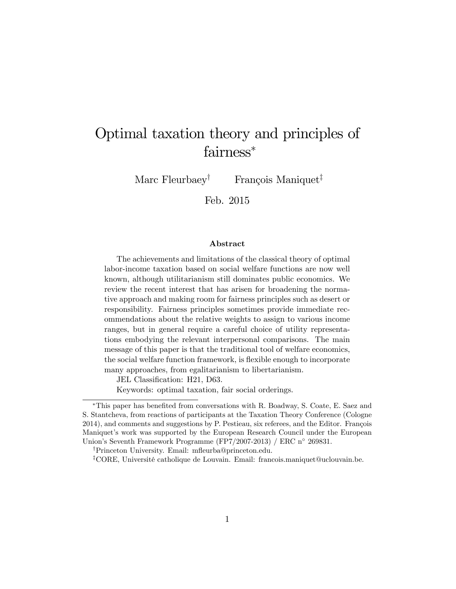# Optimal taxation theory and principles of fairness<sup>\*</sup>

Marc Fleurbaey<sup>†</sup> François Maniquet<sup>‡</sup>

Feb. 2015

#### Abstract

The achievements and limitations of the classical theory of optimal labor-income taxation based on social welfare functions are now well known, although utilitarianism still dominates public economics. We review the recent interest that has arisen for broadening the normative approach and making room for fairness principles such as desert or responsibility. Fairness principles sometimes provide immediate recommendations about the relative weights to assign to various income ranges, but in general require a careful choice of utility representations embodying the relevant interpersonal comparisons. The main message of this paper is that the traditional tool of welfare economics, the social welfare function framework, is flexible enough to incorporate many approaches, from egalitarianism to libertarianism.

JEL Classification: H21, D63.

Keywords: optimal taxation, fair social orderings.

This paper has beneÖted from conversations with R. Boadway, S. Coate, E. Saez and S. Stantcheva, from reactions of participants at the Taxation Theory Conference (Cologne 2014), and comments and suggestions by P. Pestieau, six referees, and the Editor. François Maniquetís work was supported by the European Research Council under the European Union's Seventh Framework Programme (FP7/2007-2013) / ERC n° 269831.

<sup>&</sup>lt;sup>†</sup>Princeton University. Email: mfleurba@princeton.edu.

<sup>&</sup>lt;sup>‡</sup>CORE, Université catholique de Louvain. Email: francois.maniquet@uclouvain.be.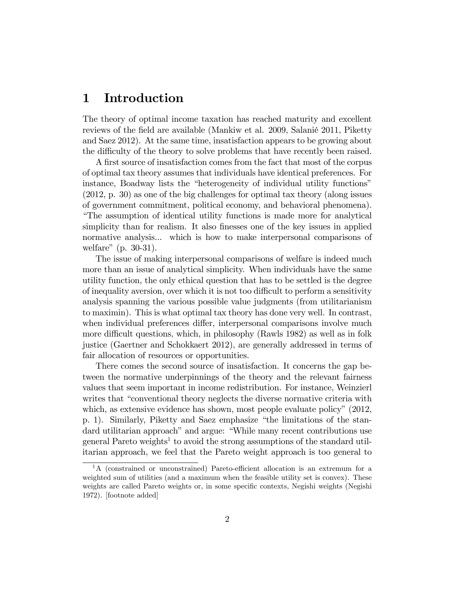### 1 Introduction

The theory of optimal income taxation has reached maturity and excellent reviews of the field are available (Mankiw et al. 2009, Salanié 2011, Piketty and Saez 2012). At the same time, insatisfaction appears to be growing about the difficulty of the theory to solve problems that have recently been raised.

A first source of insatisfaction comes from the fact that most of the corpus of optimal tax theory assumes that individuals have identical preferences. For instance, Boadway lists the "heterogeneity of individual utility functions" (2012, p. 30) as one of the big challenges for optimal tax theory (along issues of government commitment, political economy, and behavioral phenomena). ìThe assumption of identical utility functions is made more for analytical simplicity than for realism. It also finesses one of the key issues in applied normative analysis... which is how to make interpersonal comparisons of welfare" (p.  $30-31$ ).

The issue of making interpersonal comparisons of welfare is indeed much more than an issue of analytical simplicity. When individuals have the same utility function, the only ethical question that has to be settled is the degree of inequality aversion, over which it is not too difficult to perform a sensitivity analysis spanning the various possible value judgments (from utilitarianism to maximin). This is what optimal tax theory has done very well. In contrast, when individual preferences differ, interpersonal comparisons involve much more difficult questions, which, in philosophy (Rawls 1982) as well as in folk justice (Gaertner and Schokkaert 2012), are generally addressed in terms of fair allocation of resources or opportunities.

There comes the second source of insatisfaction. It concerns the gap between the normative underpinnings of the theory and the relevant fairness values that seem important in income redistribution. For instance, Weinzierl writes that "conventional theory neglects the diverse normative criteria with which, as extensive evidence has shown, most people evaluate policy"  $(2012, ...)$ p. 1). Similarly, Piketty and Saez emphasize "the limitations of the standard utilitarian approach" and argue: "While many recent contributions use  $\gamma$  general Pareto weights<sup>1</sup> to avoid the strong assumptions of the standard utilitarian approach, we feel that the Pareto weight approach is too general to

 ${}^{1}$ A (constrained or unconstrained) Pareto-efficient allocation is an extremum for a weighted sum of utilities (and a maximum when the feasible utility set is convex). These weights are called Pareto weights or, in some specific contexts, Negishi weights (Negishi 1972). [footnote added]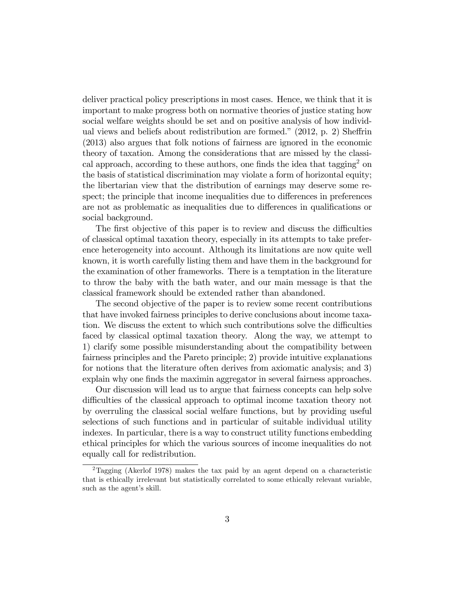deliver practical policy prescriptions in most cases. Hence, we think that it is important to make progress both on normative theories of justice stating how social welfare weights should be set and on positive analysis of how individual views and beliefs about redistribution are formed."  $(2012, p. 2)$  Sheffrin (2013) also argues that folk notions of fairness are ignored in the economic theory of taxation. Among the considerations that are missed by the classical approach, according to these authors, one finds the idea that tagging<sup>2</sup> on the basis of statistical discrimination may violate a form of horizontal equity; the libertarian view that the distribution of earnings may deserve some respect; the principle that income inequalities due to differences in preferences are not as problematic as inequalities due to differences in qualifications or social background.

The first objective of this paper is to review and discuss the difficulties of classical optimal taxation theory, especially in its attempts to take preference heterogeneity into account. Although its limitations are now quite well known, it is worth carefully listing them and have them in the background for the examination of other frameworks. There is a temptation in the literature to throw the baby with the bath water, and our main message is that the classical framework should be extended rather than abandoned.

The second objective of the paper is to review some recent contributions that have invoked fairness principles to derive conclusions about income taxation. We discuss the extent to which such contributions solve the difficulties faced by classical optimal taxation theory. Along the way, we attempt to 1) clarify some possible misunderstanding about the compatibility between fairness principles and the Pareto principle; 2) provide intuitive explanations for notions that the literature often derives from axiomatic analysis; and 3) explain why one finds the maximin aggregator in several fairness approaches.

Our discussion will lead us to argue that fairness concepts can help solve difficulties of the classical approach to optimal income taxation theory not by overruling the classical social welfare functions, but by providing useful selections of such functions and in particular of suitable individual utility indexes. In particular, there is a way to construct utility functions embedding ethical principles for which the various sources of income inequalities do not equally call for redistribution.

 $2$ Tagging (Akerlof 1978) makes the tax paid by an agent depend on a characteristic that is ethically irrelevant but statistically correlated to some ethically relevant variable, such as the agent's skill.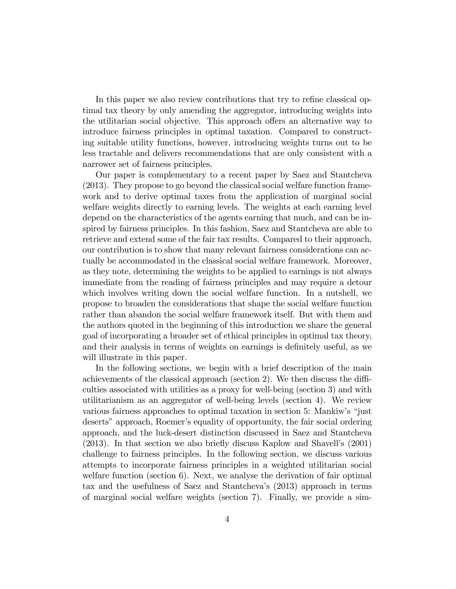In this paper we also review contributions that try to refine classical optimal tax theory by only amending the aggregator, introducing weights into the utilitarian social objective. This approach offers an alternative way to introduce fairness principles in optimal taxation. Compared to constructing suitable utility functions, however, introducing weights turns out to be less tractable and delivers recommendations that are only consistent with a narrower set of fairness principles.

Our paper is complementary to a recent paper by Saez and Stantcheva (2013). They propose to go beyond the classical social welfare function framework and to derive optimal taxes from the application of marginal social welfare weights directly to earning levels. The weights at each earning level depend on the characteristics of the agents earning that much, and can be inspired by fairness principles. In this fashion, Saez and Stantcheva are able to retrieve and extend some of the fair tax results. Compared to their approach, our contribution is to show that many relevant fairness considerations can actually be accommodated in the classical social welfare framework. Moreover, as they note, determining the weights to be applied to earnings is not always immediate from the reading of fairness principles and may require a detour which involves writing down the social welfare function. In a nutshell, we propose to broaden the considerations that shape the social welfare function rather than abandon the social welfare framework itself. But with them and the authors quoted in the beginning of this introduction we share the general goal of incorporating a broader set of ethical principles in optimal tax theory, and their analysis in terms of weights on earnings is definitely useful, as we will illustrate in this paper.

In the following sections, we begin with a brief description of the main achievements of the classical approach (section 2). We then discuss the difficulties associated with utilities as a proxy for well-being (section 3) and with utilitarianism as an aggregator of well-being levels (section 4). We review various fairness approaches to optimal taxation in section 5: Mankiw's "just deserts" approach, Roemer's equality of opportunity, the fair social ordering approach, and the luck-desert distinction discussed in Saez and Stantcheva  $(2013)$ . In that section we also briefly discuss Kaplow and Shavell's  $(2001)$ challenge to fairness principles. In the following section, we discuss various attempts to incorporate fairness principles in a weighted utilitarian social welfare function (section 6). Next, we analyse the derivation of fair optimal tax and the usefulness of Saez and Stantchevaís (2013) approach in terms of marginal social welfare weights (section 7). Finally, we provide a sim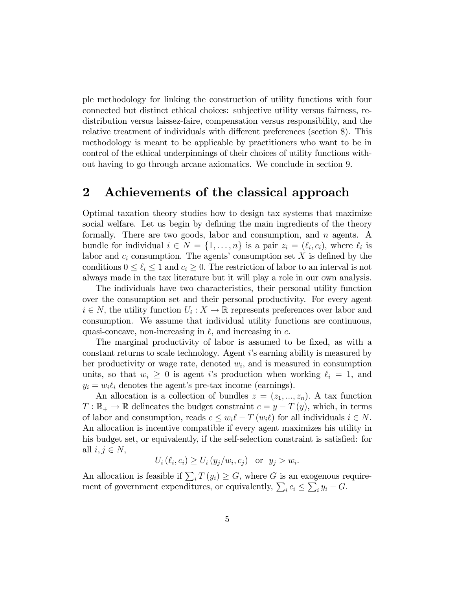ple methodology for linking the construction of utility functions with four connected but distinct ethical choices: subjective utility versus fairness, redistribution versus laissez-faire, compensation versus responsibility, and the relative treatment of individuals with different preferences (section 8). This methodology is meant to be applicable by practitioners who want to be in control of the ethical underpinnings of their choices of utility functions without having to go through arcane axiomatics. We conclude in section 9.

### 2 Achievements of the classical approach

Optimal taxation theory studies how to design tax systems that maximize social welfare. Let us begin by defining the main ingredients of the theory formally. There are two goods, labor and consumption, and n agents. A bundle for individual  $i \in N = \{1, \ldots, n\}$  is a pair  $z_i = (\ell_i, c_i)$ , where  $\ell_i$  is labor and  $c_i$  consumption. The agents' consumption set X is defined by the conditions  $0 \leq \ell_i \leq 1$  and  $c_i \geq 0$ . The restriction of labor to an interval is not always made in the tax literature but it will play a role in our own analysis.

The individuals have two characteristics, their personal utility function over the consumption set and their personal productivity. For every agent  $i \in N$ , the utility function  $U_i: X \to \mathbb{R}$  represents preferences over labor and consumption. We assume that individual utility functions are continuous, quasi-concave, non-increasing in  $\ell$ , and increasing in c.

The marginal productivity of labor is assumed to be fixed, as with a constant returns to scale technology. Agent iís earning ability is measured by her productivity or wage rate, denoted  $w_i$ , and is measured in consumption units, so that  $w_i \geq 0$  is agent is production when working  $\ell_i = 1$ , and  $y_i = w_i \ell_i$  denotes the agent's pre-tax income (earnings).

An allocation is a collection of bundles  $z = (z_1, ..., z_n)$ . A tax function  $T: \mathbb{R}_+ \to \mathbb{R}$  delineates the budget constraint  $c = y - T(y)$ , which, in terms of labor and consumption, reads  $c \leq w_i \ell - T(w_i \ell)$  for all individuals  $i \in N$ . An allocation is incentive compatible if every agent maximizes his utility in his budget set, or equivalently, if the self-selection constraint is satisfied: for all  $i, j \in N$ ,

$$
U_i(\ell_i, c_i) \ge U_i(y_j/w_i, c_j) \quad \text{or} \quad y_j > w_i.
$$

An allocation is feasible if  $\sum_i T(y_i) \geq G$ , where G is an exogenous requirement of government expenditures, or equivalently,  $\sum_i c_i \leq \sum_i y_i - G$ .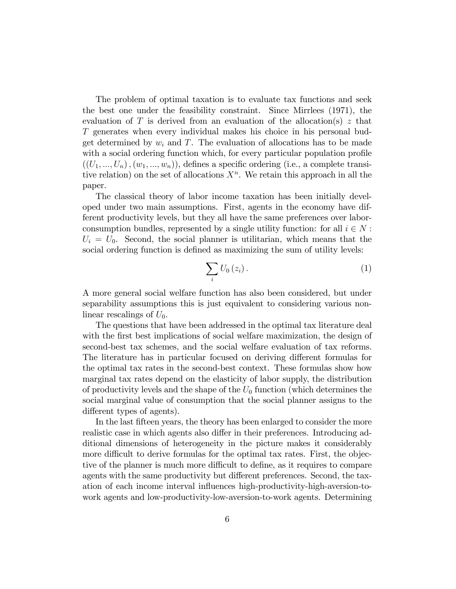The problem of optimal taxation is to evaluate tax functions and seek the best one under the feasibility constraint. Since Mirrlees (1971), the evaluation of T is derived from an evaluation of the allocation(s)  $z$  that T generates when every individual makes his choice in his personal budget determined by  $w_i$  and T. The evaluation of allocations has to be made with a social ordering function which, for every particular population profile  $((U_1, ..., U_n), (w_1, ..., w_n))$ , defines a specific ordering (i.e., a complete transitive relation) on the set of allocations  $X<sup>n</sup>$ . We retain this approach in all the paper.

The classical theory of labor income taxation has been initially developed under two main assumptions. First, agents in the economy have different productivity levels, but they all have the same preferences over laborconsumption bundles, represented by a single utility function: for all  $i \in N$ :  $U_i = U_0$ . Second, the social planner is utilitarian, which means that the social ordering function is defined as maximizing the sum of utility levels:

$$
\sum_{i} U_0(z_i). \tag{1}
$$

A more general social welfare function has also been considered, but under separability assumptions this is just equivalent to considering various nonlinear rescalings of  $U_0$ .

The questions that have been addressed in the optimal tax literature deal with the first best implications of social welfare maximization, the design of second-best tax schemes, and the social welfare evaluation of tax reforms. The literature has in particular focused on deriving different formulas for the optimal tax rates in the second-best context. These formulas show how marginal tax rates depend on the elasticity of labor supply, the distribution of productivity levels and the shape of the  $U_0$  function (which determines the social marginal value of consumption that the social planner assigns to the different types of agents).

In the last Öfteen years, the theory has been enlarged to consider the more realistic case in which agents also differ in their preferences. Introducing additional dimensions of heterogeneity in the picture makes it considerably more difficult to derive formulas for the optimal tax rates. First, the objective of the planner is much more difficult to define, as it requires to compare agents with the same productivity but different preferences. Second, the taxation of each income interval ináuences high-productivity-high-aversion-towork agents and low-productivity-low-aversion-to-work agents. Determining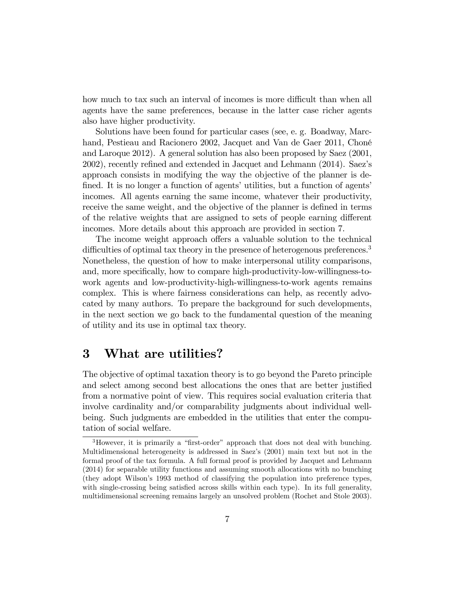how much to tax such an interval of incomes is more difficult than when all agents have the same preferences, because in the latter case richer agents also have higher productivity.

Solutions have been found for particular cases (see, e. g. Boadway, Marchand, Pestieau and Racionero 2002, Jacquet and Van de Gaer 2011, Choné and Laroque 2012). A general solution has also been proposed by Saez (2001, 2002), recently refined and extended in Jacquet and Lehmann (2014). Saez's approach consists in modifying the way the objective of the planner is defined. It is no longer a function of agents' utilities, but a function of agents' incomes. All agents earning the same income, whatever their productivity, receive the same weight, and the objective of the planner is defined in terms of the relative weights that are assigned to sets of people earning different incomes. More details about this approach are provided in section 7.

The income weight approach offers a valuable solution to the technical difficulties of optimal tax theory in the presence of heterogenous preferences.<sup>3</sup> Nonetheless, the question of how to make interpersonal utility comparisons, and, more specifically, how to compare high-productivity-low-willingness-towork agents and low-productivity-high-willingness-to-work agents remains complex. This is where fairness considerations can help, as recently advocated by many authors. To prepare the background for such developments, in the next section we go back to the fundamental question of the meaning of utility and its use in optimal tax theory.

### 3 What are utilities?

The objective of optimal taxation theory is to go beyond the Pareto principle and select among second best allocations the ones that are better justified from a normative point of view. This requires social evaluation criteria that involve cardinality and/or comparability judgments about individual wellbeing. Such judgments are embedded in the utilities that enter the computation of social welfare.

 $3$ However, it is primarily a "first-order" approach that does not deal with bunching. Multidimensional heterogeneity is addressed in Saezís (2001) main text but not in the formal proof of the tax formula. A full formal proof is provided by Jacquet and Lehmann (2014) for separable utility functions and assuming smooth allocations with no bunching (they adopt Wilsonís 1993 method of classifying the population into preference types, with single-crossing being satisfied across skills within each type). In its full generality, multidimensional screening remains largely an unsolved problem (Rochet and Stole 2003).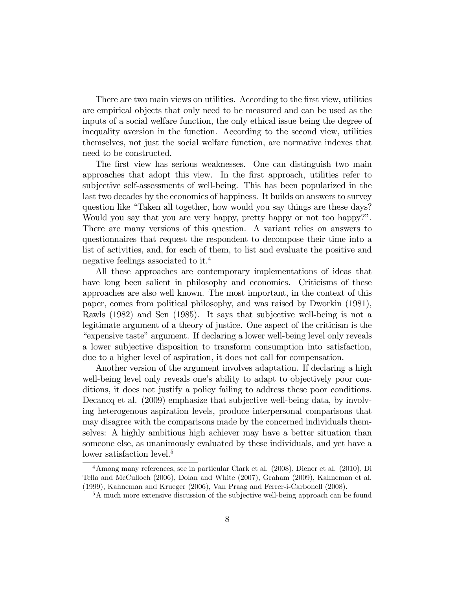There are two main views on utilities. According to the first view, utilities are empirical objects that only need to be measured and can be used as the inputs of a social welfare function, the only ethical issue being the degree of inequality aversion in the function. According to the second view, utilities themselves, not just the social welfare function, are normative indexes that need to be constructed.

The first view has serious weaknesses. One can distinguish two main approaches that adopt this view. In the Örst approach, utilities refer to subjective self-assessments of well-being. This has been popularized in the last two decades by the economics of happiness. It builds on answers to survey question like "Taken all together, how would you say things are these days? Would you say that you are very happy, pretty happy or not too happy?". There are many versions of this question. A variant relies on answers to questionnaires that request the respondent to decompose their time into a list of activities, and, for each of them, to list and evaluate the positive and negative feelings associated to it.<sup>4</sup>

All these approaches are contemporary implementations of ideas that have long been salient in philosophy and economics. Criticisms of these approaches are also well known. The most important, in the context of this paper, comes from political philosophy, and was raised by Dworkin (1981), Rawls (1982) and Sen (1985). It says that subjective well-being is not a legitimate argument of a theory of justice. One aspect of the criticism is the "expensive taste" argument. If declaring a lower well-being level only reveals a lower subjective disposition to transform consumption into satisfaction, due to a higher level of aspiration, it does not call for compensation.

Another version of the argument involves adaptation. If declaring a high well-being level only reveals one's ability to adapt to objectively poor conditions, it does not justify a policy failing to address these poor conditions. Decancq et al. (2009) emphasize that subjective well-being data, by involving heterogenous aspiration levels, produce interpersonal comparisons that may disagree with the comparisons made by the concerned individuals themselves: A highly ambitious high achiever may have a better situation than someone else, as unanimously evaluated by these individuals, and yet have a lower satisfaction level.<sup>5</sup>

<sup>4</sup>Among many references, see in particular Clark et al. (2008), Diener et al. (2010), Di Tella and McCulloch (2006), Dolan and White (2007), Graham (2009), Kahneman et al. (1999), Kahneman and Krueger (2006), Van Praag and Ferrer-i-Carbonell (2008).

<sup>&</sup>lt;sup>5</sup>A much more extensive discussion of the subjective well-being approach can be found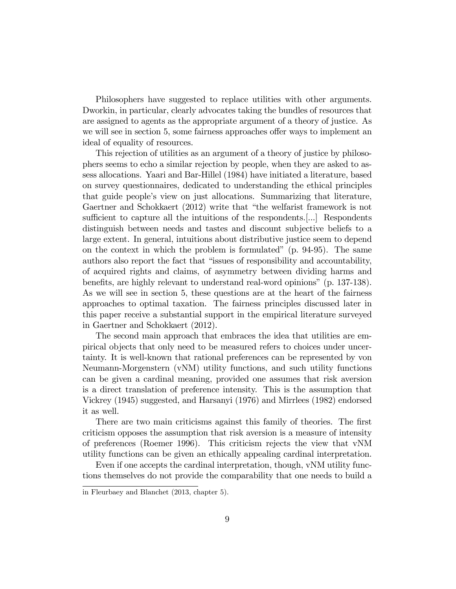Philosophers have suggested to replace utilities with other arguments. Dworkin, in particular, clearly advocates taking the bundles of resources that are assigned to agents as the appropriate argument of a theory of justice. As we will see in section 5, some fairness approaches offer ways to implement an ideal of equality of resources.

This rejection of utilities as an argument of a theory of justice by philosophers seems to echo a similar rejection by people, when they are asked to assess allocations. Yaari and Bar-Hillel (1984) have initiated a literature, based on survey questionnaires, dedicated to understanding the ethical principles that guide peopleís view on just allocations. Summarizing that literature, Gaertner and Schokkaert (2012) write that "the welfarist framework is not sufficient to capture all the intuitions of the respondents........ Respondents distinguish between needs and tastes and discount subjective beliefs to a large extent. In general, intuitions about distributive justice seem to depend on the context in which the problem is formulated"  $(p. 94-95)$ . The same authors also report the fact that "issues of responsibility and accountability, of acquired rights and claims, of asymmetry between dividing harms and benefits, are highly relevant to understand real-word opinions" (p. 137-138). As we will see in section 5, these questions are at the heart of the fairness approaches to optimal taxation. The fairness principles discussed later in this paper receive a substantial support in the empirical literature surveyed in Gaertner and Schokkaert (2012).

The second main approach that embraces the idea that utilities are empirical objects that only need to be measured refers to choices under uncertainty. It is well-known that rational preferences can be represented by von Neumann-Morgenstern (vNM) utility functions, and such utility functions can be given a cardinal meaning, provided one assumes that risk aversion is a direct translation of preference intensity. This is the assumption that Vickrey (1945) suggested, and Harsanyi (1976) and Mirrlees (1982) endorsed it as well.

There are two main criticisms against this family of theories. The first criticism opposes the assumption that risk aversion is a measure of intensity of preferences (Roemer 1996). This criticism rejects the view that vNM utility functions can be given an ethically appealing cardinal interpretation.

Even if one accepts the cardinal interpretation, though, vNM utility functions themselves do not provide the comparability that one needs to build a

in Fleurbaey and Blanchet (2013, chapter 5).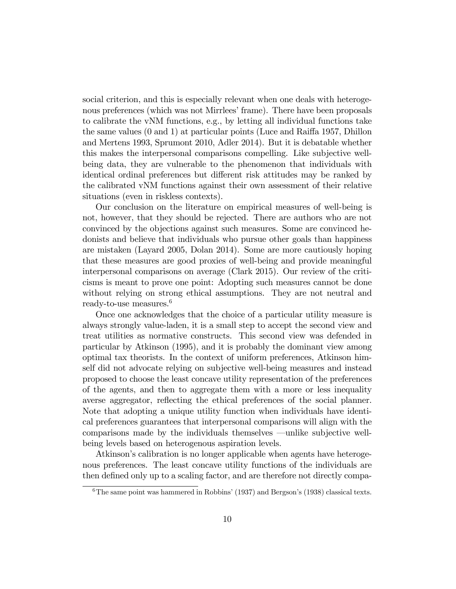social criterion, and this is especially relevant when one deals with heterogenous preferences (which was not Mirrlees' frame). There have been proposals to calibrate the vNM functions, e.g., by letting all individual functions take the same values  $(0 \text{ and } 1)$  at particular points (Luce and Raiffa 1957, Dhillon and Mertens 1993, Sprumont 2010, Adler 2014). But it is debatable whether this makes the interpersonal comparisons compelling. Like subjective wellbeing data, they are vulnerable to the phenomenon that individuals with identical ordinal preferences but different risk attitudes may be ranked by the calibrated vNM functions against their own assessment of their relative situations (even in riskless contexts).

Our conclusion on the literature on empirical measures of well-being is not, however, that they should be rejected. There are authors who are not convinced by the objections against such measures. Some are convinced hedonists and believe that individuals who pursue other goals than happiness are mistaken (Layard 2005, Dolan 2014). Some are more cautiously hoping that these measures are good proxies of well-being and provide meaningful interpersonal comparisons on average (Clark 2015). Our review of the criticisms is meant to prove one point: Adopting such measures cannot be done without relying on strong ethical assumptions. They are not neutral and ready-to-use measures.<sup>6</sup>

Once one acknowledges that the choice of a particular utility measure is always strongly value-laden, it is a small step to accept the second view and treat utilities as normative constructs. This second view was defended in particular by Atkinson (1995), and it is probably the dominant view among optimal tax theorists. In the context of uniform preferences, Atkinson himself did not advocate relying on subjective well-being measures and instead proposed to choose the least concave utility representation of the preferences of the agents, and then to aggregate them with a more or less inequality averse aggregator, reflecting the ethical preferences of the social planner. Note that adopting a unique utility function when individuals have identical preferences guarantees that interpersonal comparisons will align with the comparisons made by the individuals themselves —unlike subjective wellbeing levels based on heterogenous aspiration levels.

Atkinson's calibration is no longer applicable when agents have heterogenous preferences. The least concave utility functions of the individuals are then defined only up to a scaling factor, and are therefore not directly compa-

 $6$ The same point was hammered in Robbins' (1937) and Bergson's (1938) classical texts.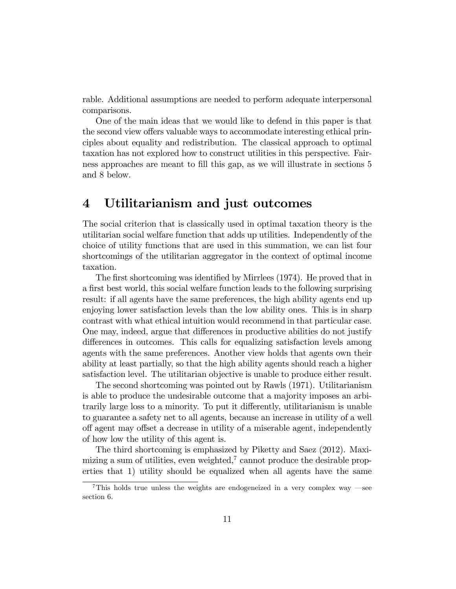rable. Additional assumptions are needed to perform adequate interpersonal comparisons.

One of the main ideas that we would like to defend in this paper is that the second view offers valuable ways to accommodate interesting ethical principles about equality and redistribution. The classical approach to optimal taxation has not explored how to construct utilities in this perspective. Fairness approaches are meant to fill this gap, as we will illustrate in sections 5 and 8 below.

### 4 Utilitarianism and just outcomes

The social criterion that is classically used in optimal taxation theory is the utilitarian social welfare function that adds up utilities. Independently of the choice of utility functions that are used in this summation, we can list four shortcomings of the utilitarian aggregator in the context of optimal income taxation.

The first shortcoming was identified by Mirrlees (1974). He proved that in a first best world, this social welfare function leads to the following surprising result: if all agents have the same preferences, the high ability agents end up enjoying lower satisfaction levels than the low ability ones. This is in sharp contrast with what ethical intuition would recommend in that particular case. One may, indeed, argue that differences in productive abilities do not justify differences in outcomes. This calls for equalizing satisfaction levels among agents with the same preferences. Another view holds that agents own their ability at least partially, so that the high ability agents should reach a higher satisfaction level. The utilitarian objective is unable to produce either result.

The second shortcoming was pointed out by Rawls (1971). Utilitarianism is able to produce the undesirable outcome that a majority imposes an arbitrarily large loss to a minority. To put it differently, utilitarianism is unable to guarantee a safety net to all agents, because an increase in utility of a well off agent may offset a decrease in utility of a miserable agent, independently of how low the utility of this agent is.

The third shortcoming is emphasized by Piketty and Saez (2012). Maximizing a sum of utilities, even weighted,<sup>7</sup> cannot produce the desirable properties that 1) utility should be equalized when all agents have the same

<sup>&</sup>lt;sup>7</sup>This holds true unless the weights are endogeneized in a very complex way  $\equiv$  see section 6.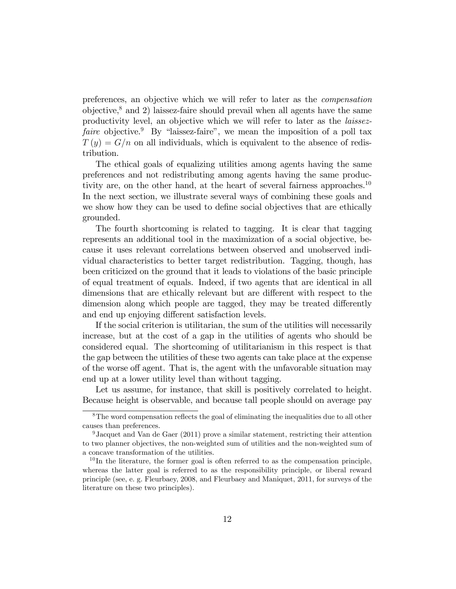preferences, an objective which we will refer to later as the compensation objective,<sup>8</sup> and 2) laissez-faire should prevail when all agents have the same productivity level, an objective which we will refer to later as the laissez*faire* objective. <sup>9</sup> By "laissez-faire", we mean the imposition of a poll tax  $T(y) = G/n$  on all individuals, which is equivalent to the absence of redistribution.

The ethical goals of equalizing utilities among agents having the same preferences and not redistributing among agents having the same productivity are, on the other hand, at the heart of several fairness approaches.<sup>10</sup> In the next section, we illustrate several ways of combining these goals and we show how they can be used to define social objectives that are ethically grounded.

The fourth shortcoming is related to tagging. It is clear that tagging represents an additional tool in the maximization of a social objective, because it uses relevant correlations between observed and unobserved individual characteristics to better target redistribution. Tagging, though, has been criticized on the ground that it leads to violations of the basic principle of equal treatment of equals. Indeed, if two agents that are identical in all dimensions that are ethically relevant but are different with respect to the dimension along which people are tagged, they may be treated differently and end up enjoying different satisfaction levels.

If the social criterion is utilitarian, the sum of the utilities will necessarily increase, but at the cost of a gap in the utilities of agents who should be considered equal. The shortcoming of utilitarianism in this respect is that the gap between the utilities of these two agents can take place at the expense of the worse off agent. That is, the agent with the unfavorable situation may end up at a lower utility level than without tagging.

Let us assume, for instance, that skill is positively correlated to height. Because height is observable, and because tall people should on average pay

 $8$ The word compensation reflects the goal of eliminating the inequalities due to all other causes than preferences.

<sup>9</sup>Jacquet and Van de Gaer (2011) prove a similar statement, restricting their attention to two planner objectives, the non-weighted sum of utilities and the non-weighted sum of a concave transformation of the utilities.

 $10$ In the literature, the former goal is often referred to as the compensation principle, whereas the latter goal is referred to as the responsibility principle, or liberal reward principle (see, e. g. Fleurbaey, 2008, and Fleurbaey and Maniquet, 2011, for surveys of the literature on these two principles).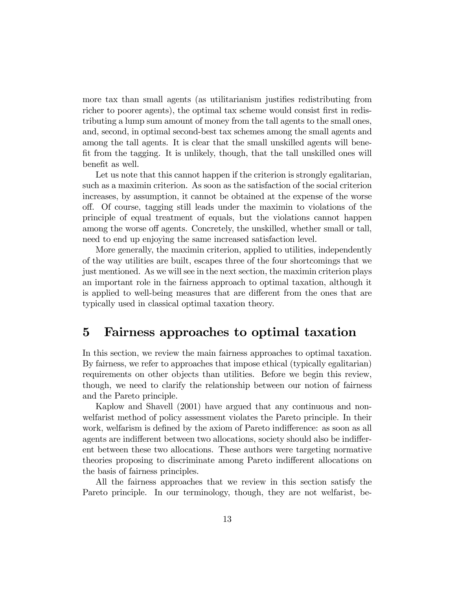more tax than small agents (as utilitarianism justifies redistributing from richer to poorer agents), the optimal tax scheme would consist first in redistributing a lump sum amount of money from the tall agents to the small ones, and, second, in optimal second-best tax schemes among the small agents and among the tall agents. It is clear that the small unskilled agents will bene-Öt from the tagging. It is unlikely, though, that the tall unskilled ones will benefit as well.

Let us note that this cannot happen if the criterion is strongly egalitarian, such as a maximin criterion. As soon as the satisfaction of the social criterion increases, by assumption, it cannot be obtained at the expense of the worse o§. Of course, tagging still leads under the maximin to violations of the principle of equal treatment of equals, but the violations cannot happen among the worse off agents. Concretely, the unskilled, whether small or tall, need to end up enjoying the same increased satisfaction level.

More generally, the maximin criterion, applied to utilities, independently of the way utilities are built, escapes three of the four shortcomings that we just mentioned. As we will see in the next section, the maximin criterion plays an important role in the fairness approach to optimal taxation, although it is applied to well-being measures that are different from the ones that are typically used in classical optimal taxation theory.

### 5 Fairness approaches to optimal taxation

In this section, we review the main fairness approaches to optimal taxation. By fairness, we refer to approaches that impose ethical (typically egalitarian) requirements on other objects than utilities. Before we begin this review, though, we need to clarify the relationship between our notion of fairness and the Pareto principle.

Kaplow and Shavell (2001) have argued that any continuous and nonwelfarist method of policy assessment violates the Pareto principle. In their work, welfarism is defined by the axiom of Pareto indifference: as soon as all agents are indifferent between two allocations, society should also be indifferent between these two allocations. These authors were targeting normative theories proposing to discriminate among Pareto indifferent allocations on the basis of fairness principles.

All the fairness approaches that we review in this section satisfy the Pareto principle. In our terminology, though, they are not welfarist, be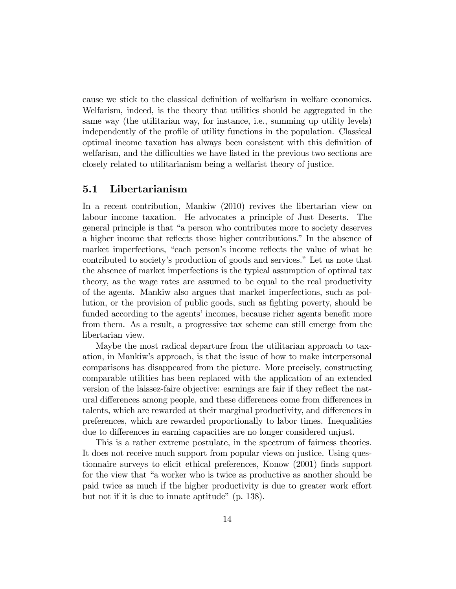cause we stick to the classical definition of welfarism in welfare economics. Welfarism, indeed, is the theory that utilities should be aggregated in the same way (the utilitarian way, for instance, i.e., summing up utility levels) independently of the profile of utility functions in the population. Classical optimal income taxation has always been consistent with this definition of welfarism, and the difficulties we have listed in the previous two sections are closely related to utilitarianism being a welfarist theory of justice.

#### 5.1 Libertarianism

In a recent contribution, Mankiw (2010) revives the libertarian view on labour income taxation. He advocates a principle of Just Deserts. The general principle is that "a person who contributes more to society deserves a higher income that reflects those higher contributions." In the absence of market imperfections, "each person's income reflects the value of what he contributed to society's production of goods and services." Let us note that the absence of market imperfections is the typical assumption of optimal tax theory, as the wage rates are assumed to be equal to the real productivity of the agents. Mankiw also argues that market imperfections, such as pollution, or the provision of public goods, such as fighting poverty, should be funded according to the agents' incomes, because richer agents benefit more from them. As a result, a progressive tax scheme can still emerge from the libertarian view.

Maybe the most radical departure from the utilitarian approach to taxation, in Mankiwís approach, is that the issue of how to make interpersonal comparisons has disappeared from the picture. More precisely, constructing comparable utilities has been replaced with the application of an extended version of the laissez-faire objective: earnings are fair if they reflect the natural differences among people, and these differences come from differences in talents, which are rewarded at their marginal productivity, and differences in preferences, which are rewarded proportionally to labor times. Inequalities due to differences in earning capacities are no longer considered unjust.

This is a rather extreme postulate, in the spectrum of fairness theories. It does not receive much support from popular views on justice. Using questionnaire surveys to elicit ethical preferences, Konow (2001) Önds support for the view that "a worker who is twice as productive as another should be paid twice as much if the higher productivity is due to greater work effort but not if it is due to innate aptitude"  $(p. 138)$ .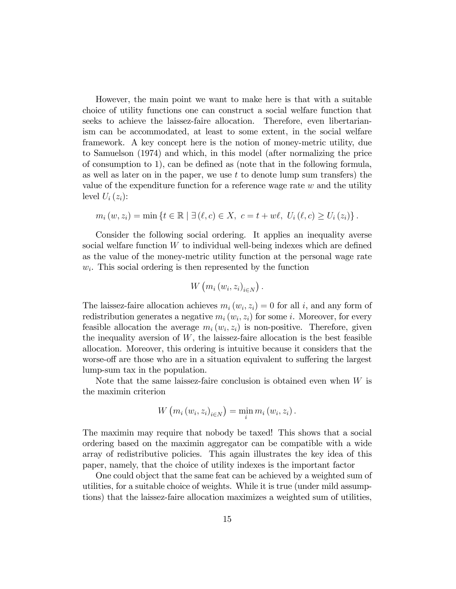However, the main point we want to make here is that with a suitable choice of utility functions one can construct a social welfare function that seeks to achieve the laissez-faire allocation. Therefore, even libertarianism can be accommodated, at least to some extent, in the social welfare framework. A key concept here is the notion of money-metric utility, due to Samuelson (1974) and which, in this model (after normalizing the price of consumption to 1), can be defined as (note that in the following formula, as well as later on in the paper, we use  $t$  to denote lump sum transfers) the value of the expenditure function for a reference wage rate  $w$  and the utility level  $U_i(z_i)$ :

$$
m_i(w, z_i) = \min \{ t \in \mathbb{R} \mid \exists (\ell, c) \in X, \ c = t + w\ell, \ U_i(\ell, c) \ge U_i(z_i) \}.
$$

Consider the following social ordering. It applies an inequality averse social welfare function  $W$  to individual well-being indexes which are defined as the value of the money-metric utility function at the personal wage rate  $w_i$ . This social ordering is then represented by the function

$$
W\left(m_i\left(w_i,z_i\right)_{i\in N}\right).
$$

The laissez-faire allocation achieves  $m_i(w_i, z_i) = 0$  for all i, and any form of redistribution generates a negative  $m_i(w_i, z_i)$  for some i. Moreover, for every feasible allocation the average  $m_i(w_i, z_i)$  is non-positive. Therefore, given the inequality aversion of  $W$ , the laissez-faire allocation is the best feasible allocation. Moreover, this ordering is intuitive because it considers that the worse-off are those who are in a situation equivalent to suffering the largest lump-sum tax in the population.

Note that the same laissez-faire conclusion is obtained even when W is the maximin criterion

$$
W\left(m_i\left(w_i,z_i\right)_{i\in N}\right)=\min_i m_i\left(w_i,z_i\right).
$$

The maximin may require that nobody be taxed! This shows that a social ordering based on the maximin aggregator can be compatible with a wide array of redistributive policies. This again illustrates the key idea of this paper, namely, that the choice of utility indexes is the important factor

One could object that the same feat can be achieved by a weighted sum of utilities, for a suitable choice of weights. While it is true (under mild assumptions) that the laissez-faire allocation maximizes a weighted sum of utilities,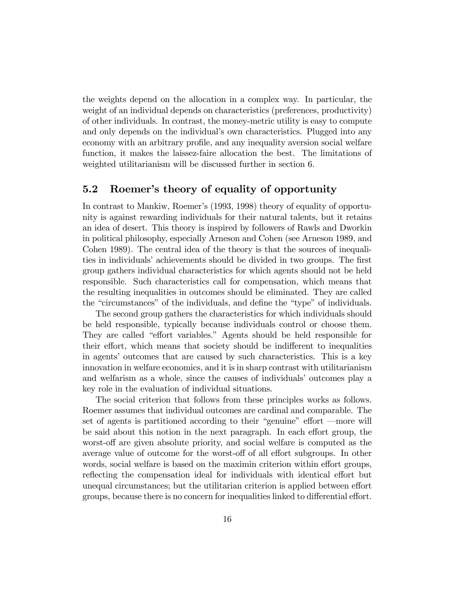the weights depend on the allocation in a complex way. In particular, the weight of an individual depends on characteristics (preferences, productivity) of other individuals. In contrast, the money-metric utility is easy to compute and only depends on the individual's own characteristics. Plugged into any economy with an arbitrary profile, and any inequality aversion social welfare function, it makes the laissez-faire allocation the best. The limitations of weighted utilitarianism will be discussed further in section 6.

#### 5.2 Roemer's theory of equality of opportunity

In contrast to Mankiw, Roemer's (1993, 1998) theory of equality of opportunity is against rewarding individuals for their natural talents, but it retains an idea of desert. This theory is inspired by followers of Rawls and Dworkin in political philosophy, especially Arneson and Cohen (see Arneson 1989, and Cohen 1989). The central idea of the theory is that the sources of inequalities in individuals' achievements should be divided in two groups. The first group gathers individual characteristics for which agents should not be held responsible. Such characteristics call for compensation, which means that the resulting inequalities in outcomes should be eliminated. They are called the "circumstances" of the individuals, and define the "type" of individuals.

The second group gathers the characteristics for which individuals should be held responsible, typically because individuals control or choose them. They are called "effort variables." Agents should be held responsible for their effort, which means that society should be indifferent to inequalities in agents' outcomes that are caused by such characteristics. This is a key innovation in welfare economics, and it is in sharp contrast with utilitarianism and welfarism as a whole, since the causes of individuals' outcomes play a key role in the evaluation of individual situations.

The social criterion that follows from these principles works as follows. Roemer assumes that individual outcomes are cardinal and comparable. The set of agents is partitioned according to their "genuine" effort —more will be said about this notion in the next paragraph. In each effort group, the worst-off are given absolute priority, and social welfare is computed as the average value of outcome for the worst-off of all effort subgroups. In other words, social welfare is based on the maximin criterion within effort groups, reflecting the compensation ideal for individuals with identical effort but unequal circumstances; but the utilitarian criterion is applied between effort groups, because there is no concern for inequalities linked to differential effort.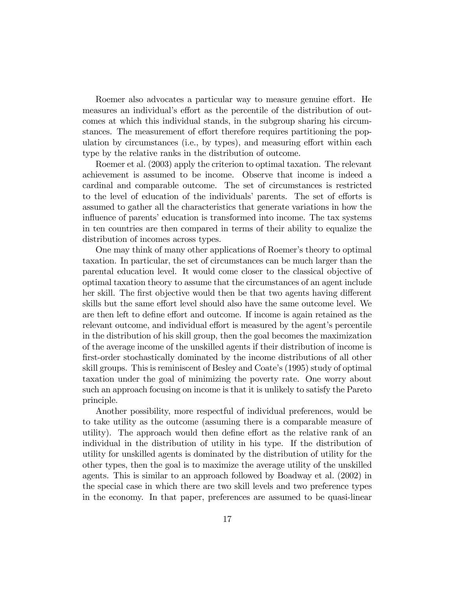Roemer also advocates a particular way to measure genuine effort. He measures an individual's effort as the percentile of the distribution of outcomes at which this individual stands, in the subgroup sharing his circumstances. The measurement of effort therefore requires partitioning the population by circumstances (i.e., by types), and measuring effort within each type by the relative ranks in the distribution of outcome.

Roemer et al. (2003) apply the criterion to optimal taxation. The relevant achievement is assumed to be income. Observe that income is indeed a cardinal and comparable outcome. The set of circumstances is restricted to the level of education of the individuals' parents. The set of efforts is assumed to gather all the characteristics that generate variations in how the influence of parents' education is transformed into income. The tax systems in ten countries are then compared in terms of their ability to equalize the distribution of incomes across types.

One may think of many other applications of Roemer's theory to optimal taxation. In particular, the set of circumstances can be much larger than the parental education level. It would come closer to the classical objective of optimal taxation theory to assume that the circumstances of an agent include her skill. The first objective would then be that two agents having different skills but the same effort level should also have the same outcome level. We are then left to define effort and outcome. If income is again retained as the relevant outcome, and individual effort is measured by the agent's percentile in the distribution of his skill group, then the goal becomes the maximization of the average income of the unskilled agents if their distribution of income is first-order stochastically dominated by the income distributions of all other skill groups. This is reminiscent of Besley and Coate's (1995) study of optimal taxation under the goal of minimizing the poverty rate. One worry about such an approach focusing on income is that it is unlikely to satisfy the Pareto principle.

Another possibility, more respectful of individual preferences, would be to take utility as the outcome (assuming there is a comparable measure of utility). The approach would then define effort as the relative rank of an individual in the distribution of utility in his type. If the distribution of utility for unskilled agents is dominated by the distribution of utility for the other types, then the goal is to maximize the average utility of the unskilled agents. This is similar to an approach followed by Boadway et al. (2002) in the special case in which there are two skill levels and two preference types in the economy. In that paper, preferences are assumed to be quasi-linear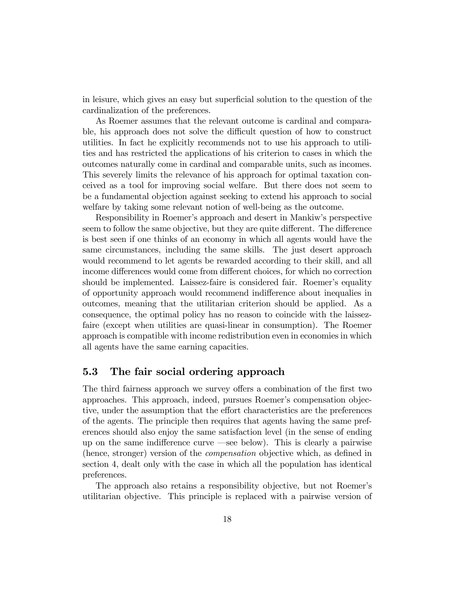in leisure, which gives an easy but superficial solution to the question of the cardinalization of the preferences.

As Roemer assumes that the relevant outcome is cardinal and comparable, his approach does not solve the difficult question of how to construct utilities. In fact he explicitly recommends not to use his approach to utilities and has restricted the applications of his criterion to cases in which the outcomes naturally come in cardinal and comparable units, such as incomes. This severely limits the relevance of his approach for optimal taxation conceived as a tool for improving social welfare. But there does not seem to be a fundamental objection against seeking to extend his approach to social welfare by taking some relevant notion of well-being as the outcome.

Responsibility in Roemerís approach and desert in Mankiwís perspective seem to follow the same objective, but they are quite different. The difference is best seen if one thinks of an economy in which all agents would have the same circumstances, including the same skills. The just desert approach would recommend to let agents be rewarded according to their skill, and all income differences would come from different choices, for which no correction should be implemented. Laissez-faire is considered fair. Roemer's equality of opportunity approach would recommend indifference about inequalies in outcomes, meaning that the utilitarian criterion should be applied. As a consequence, the optimal policy has no reason to coincide with the laissezfaire (except when utilities are quasi-linear in consumption). The Roemer approach is compatible with income redistribution even in economies in which all agents have the same earning capacities.

#### 5.3 The fair social ordering approach

The third fairness approach we survey offers a combination of the first two approaches. This approach, indeed, pursues Roemerís compensation objective, under the assumption that the effort characteristics are the preferences of the agents. The principle then requires that agents having the same preferences should also enjoy the same satisfaction level (in the sense of ending up on the same indifference curve  $\sim$  see below). This is clearly a pairwise (hence, stronger) version of the *compensation* objective which, as defined in section 4, dealt only with the case in which all the population has identical preferences.

The approach also retains a responsibility objective, but not Roemer's utilitarian objective. This principle is replaced with a pairwise version of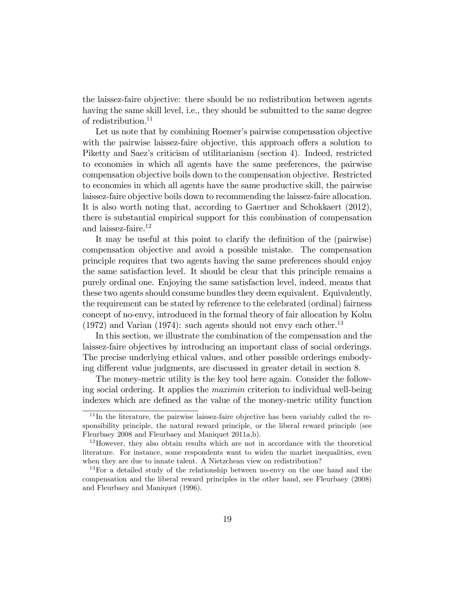the laissez-faire objective: there should be no redistribution between agents having the same skill level, i.e., they should be submitted to the same degree of redistribution.<sup>11</sup>

Let us note that by combining Roemer's pairwise compensation objective with the pairwise laissez-faire objective, this approach offers a solution to Piketty and Saez's criticism of utilitarianism (section 4). Indeed, restricted to economies in which all agents have the same preferences, the pairwise compensation objective boils down to the compensation objective. Restricted to economies in which all agents have the same productive skill, the pairwise laissez-faire objective boils down to recommending the laissez-faire allocation. It is also worth noting that, according to Gaertner and Schokkaert (2012), there is substantial empirical support for this combination of compensation and laissez-faire.<sup>12</sup>

It may be useful at this point to clarify the definition of the (pairwise) compensation objective and avoid a possible mistake. The compensation principle requires that two agents having the same preferences should enjoy the same satisfaction level. It should be clear that this principle remains a purely ordinal one. Enjoying the same satisfaction level, indeed, means that these two agents should consume bundles they deem equivalent. Equivalently, the requirement can be stated by reference to the celebrated (ordinal) fairness concept of no-envy, introduced in the formal theory of fair allocation by Kolm (1972) and Varian (1974): such agents should not envy each other.<sup>13</sup>

In this section, we illustrate the combination of the compensation and the laissez-faire objectives by introducing an important class of social orderings. The precise underlying ethical values, and other possible orderings embodying different value judgments, are discussed in greater detail in section 8.

The money-metric utility is the key tool here again. Consider the following social ordering. It applies the maximin criterion to individual well-being indexes which are deÖned as the value of the money-metric utility function

<sup>&</sup>lt;sup>11</sup>In the literature, the pairwise laissez-faire objective has been variably called the responsibility principle, the natural reward principle, or the liberal reward principle (see Fleurbaey 2008 and Fleurbaey and Maniquet 2011a,b).

<sup>&</sup>lt;sup>12</sup>However, they also obtain results which are not in accordance with the theoretical literature. For instance, some respondents want to widen the market inequalities, even when they are due to innate talent. A Nietzchean view on redistribution?

<sup>&</sup>lt;sup>13</sup>For a detailed study of the relationship between no-envy on the one hand and the compensation and the liberal reward principles in the other hand, see Fleurbaey (2008) and Fleurbaey and Maniquet (1996).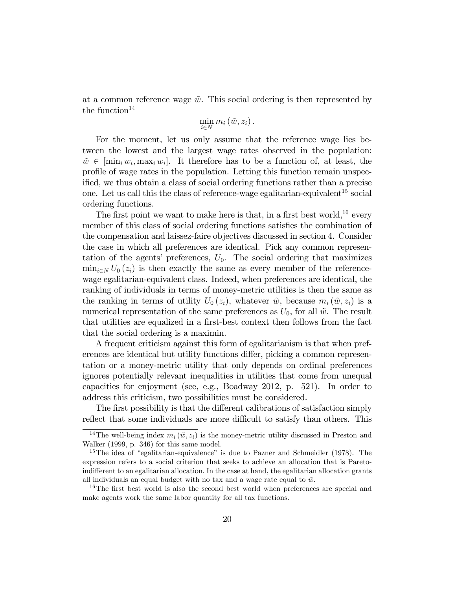at a common reference wage  $\tilde{w}$ . This social ordering is then represented by the function $14$ 

$$
\min_{i\in N}m_{i}\left(\tilde{w},z_{i}\right).
$$

For the moment, let us only assume that the reference wage lies between the lowest and the largest wage rates observed in the population:  $\tilde{w} \in [\min_i w_i, \max_i w_i].$  It therefore has to be a function of, at least, the profile of wage rates in the population. Letting this function remain unspecified, we thus obtain a class of social ordering functions rather than a precise one. Let us call this the class of reference-wage egalitarian-equivalent<sup>15</sup> social ordering functions.

The first point we want to make here is that, in a first best world,<sup>16</sup> every member of this class of social ordering functions satisfies the combination of the compensation and laissez-faire objectives discussed in section 4. Consider the case in which all preferences are identical. Pick any common representation of the agents' preferences,  $U_0$ . The social ordering that maximizes  $\min_{i\in\mathbb{N}} U_0(z_i)$  is then exactly the same as every member of the referencewage egalitarian-equivalent class. Indeed, when preferences are identical, the ranking of individuals in terms of money-metric utilities is then the same as the ranking in terms of utility  $U_0(z_i)$ , whatever  $\tilde{w}$ , because  $m_i(\tilde{w}, z_i)$  is a numerical representation of the same preferences as  $U_0$ , for all  $\tilde{w}$ . The result that utilities are equalized in a first-best context then follows from the fact that the social ordering is a maximin.

A frequent criticism against this form of egalitarianism is that when preferences are identical but utility functions differ, picking a common representation or a money-metric utility that only depends on ordinal preferences ignores potentially relevant inequalities in utilities that come from unequal capacities for enjoyment (see, e.g., Boadway 2012, p. 521). In order to address this criticism, two possibilities must be considered.

The first possibility is that the different calibrations of satisfaction simply reflect that some individuals are more difficult to satisfy than others. This

<sup>&</sup>lt;sup>14</sup>The well-being index  $m_i(\tilde{w}, z_i)$  is the money-metric utility discussed in Preston and Walker (1999, p. 346) for this same model.

<sup>&</sup>lt;sup>15</sup>The idea of "egalitarian-equivalence" is due to Pazner and Schmeidler (1978). The expression refers to a social criterion that seeks to achieve an allocation that is Paretoindifferent to an egalitarian allocation. In the case at hand, the egalitarian allocation grants all individuals an equal budget with no tax and a wage rate equal to  $\tilde{w}$ .

<sup>&</sup>lt;sup>16</sup>The first best world is also the second best world when preferences are special and make agents work the same labor quantity for all tax functions.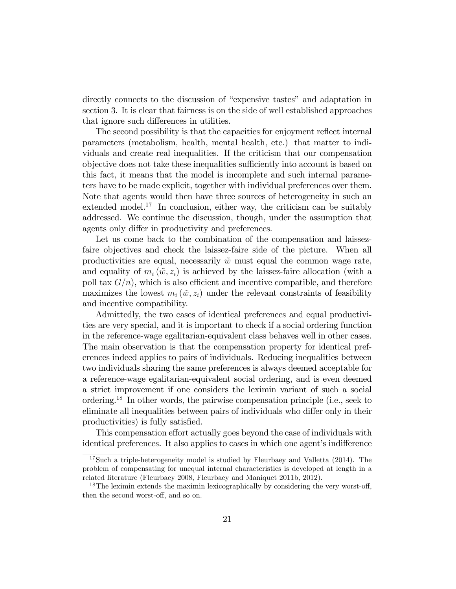directly connects to the discussion of "expensive tastes" and adaptation in section 3. It is clear that fairness is on the side of well established approaches that ignore such differences in utilities.

The second possibility is that the capacities for enjoyment reflect internal parameters (metabolism, health, mental health, etc.) that matter to individuals and create real inequalities. If the criticism that our compensation objective does not take these inequalities su¢ ciently into account is based on this fact, it means that the model is incomplete and such internal parameters have to be made explicit, together with individual preferences over them. Note that agents would then have three sources of heterogeneity in such an extended model.<sup>17</sup> In conclusion, either way, the criticism can be suitably addressed. We continue the discussion, though, under the assumption that agents only differ in productivity and preferences.

Let us come back to the combination of the compensation and laissezfaire objectives and check the laissez-faire side of the picture. When all productivities are equal, necessarily  $\tilde{w}$  must equal the common wage rate, and equality of  $m_i$  ( $\tilde{w}, z_i$ ) is achieved by the laissez-faire allocation (with a poll tax  $G(n)$ , which is also efficient and incentive compatible, and therefore maximizes the lowest  $m_i (\tilde{w}, z_i)$  under the relevant constraints of feasibility and incentive compatibility.

Admittedly, the two cases of identical preferences and equal productivities are very special, and it is important to check if a social ordering function in the reference-wage egalitarian-equivalent class behaves well in other cases. The main observation is that the compensation property for identical preferences indeed applies to pairs of individuals. Reducing inequalities between two individuals sharing the same preferences is always deemed acceptable for a reference-wage egalitarian-equivalent social ordering, and is even deemed a strict improvement if one considers the leximin variant of such a social ordering.<sup>18</sup> In other words, the pairwise compensation principle (i.e., seek to eliminate all inequalities between pairs of individuals who differ only in their productivities) is fully satisfied.

This compensation effort actually goes beyond the case of individuals with identical preferences. It also applies to cases in which one agent's indifference

<sup>17</sup>Such a triple-heterogeneity model is studied by Fleurbaey and Valletta (2014). The problem of compensating for unequal internal characteristics is developed at length in a related literature (Fleurbaey 2008, Fleurbaey and Maniquet 2011b, 2012).

<sup>&</sup>lt;sup>18</sup>The leximin extends the maximin lexicographically by considering the very worst-off, then the second worst-off, and so on.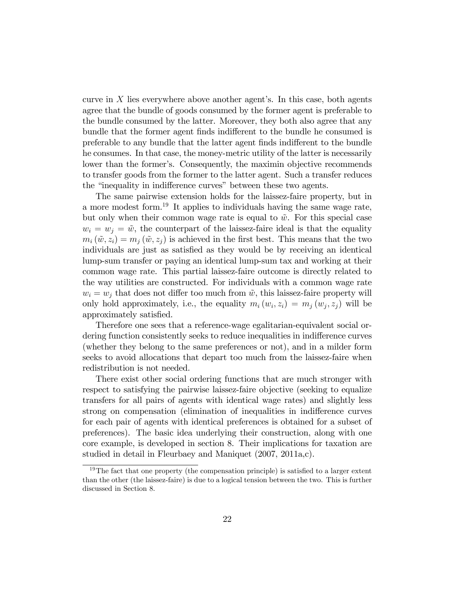curve in  $X$  lies everywhere above another agent's. In this case, both agents agree that the bundle of goods consumed by the former agent is preferable to the bundle consumed by the latter. Moreover, they both also agree that any bundle that the former agent finds indifferent to the bundle he consumed is preferable to any bundle that the latter agent finds indifferent to the bundle he consumes. In that case, the money-metric utility of the latter is necessarily lower than the former's. Consequently, the maximin objective recommends to transfer goods from the former to the latter agent. Such a transfer reduces the "inequality in indifference curves" between these two agents.

The same pairwise extension holds for the laissez-faire property, but in a more modest form.<sup>19</sup> It applies to individuals having the same wage rate, but only when their common wage rate is equal to  $\tilde{w}$ . For this special case  $w_i = w_j = \tilde{w}$ , the counterpart of the laissez-faire ideal is that the equality  $m_i (\tilde{w}, z_i) = m_j (\tilde{w}, z_j)$  is achieved in the first best. This means that the two individuals are just as satisfied as they would be by receiving an identical lump-sum transfer or paying an identical lump-sum tax and working at their common wage rate. This partial laissez-faire outcome is directly related to the way utilities are constructed. For individuals with a common wage rate  $w_i = w_j$  that does not differ too much from  $\tilde{w}$ , this laissez-faire property will only hold approximately, i.e., the equality  $m_i(w_i, z_i) = m_j(w_j, z_j)$  will be approximately satisfied.

Therefore one sees that a reference-wage egalitarian-equivalent social ordering function consistently seeks to reduce inequalities in indifference curves (whether they belong to the same preferences or not), and in a milder form seeks to avoid allocations that depart too much from the laissez-faire when redistribution is not needed.

There exist other social ordering functions that are much stronger with respect to satisfying the pairwise laissez-faire objective (seeking to equalize transfers for all pairs of agents with identical wage rates) and slightly less strong on compensation (elimination of inequalities in indifference curves for each pair of agents with identical preferences is obtained for a subset of preferences). The basic idea underlying their construction, along with one core example, is developed in section 8. Their implications for taxation are studied in detail in Fleurbaey and Maniquet (2007, 2011a,c).

 $19$ The fact that one property (the compensation principle) is satisfied to a larger extent than the other (the laissez-faire) is due to a logical tension between the two. This is further discussed in Section 8.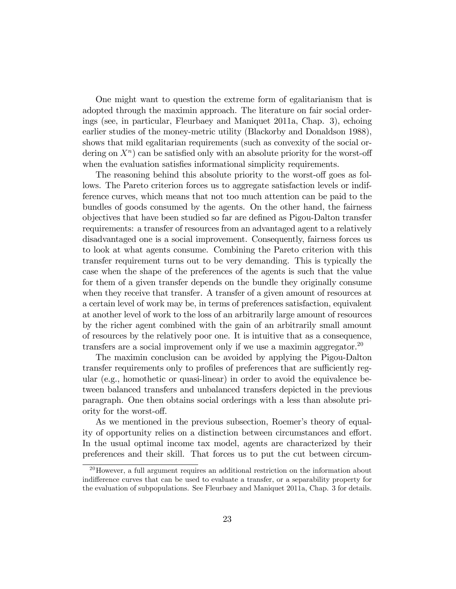One might want to question the extreme form of egalitarianism that is adopted through the maximin approach. The literature on fair social orderings (see, in particular, Fleurbaey and Maniquet 2011a, Chap. 3), echoing earlier studies of the money-metric utility (Blackorby and Donaldson 1988), shows that mild egalitarian requirements (such as convexity of the social ordering on  $X<sup>n</sup>$  can be satisfied only with an absolute priority for the worst-off when the evaluation satisfies informational simplicity requirements.

The reasoning behind this absolute priority to the worst-off goes as follows. The Pareto criterion forces us to aggregate satisfaction levels or indifference curves, which means that not too much attention can be paid to the bundles of goods consumed by the agents. On the other hand, the fairness objectives that have been studied so far are defined as Pigou-Dalton transfer requirements: a transfer of resources from an advantaged agent to a relatively disadvantaged one is a social improvement. Consequently, fairness forces us to look at what agents consume. Combining the Pareto criterion with this transfer requirement turns out to be very demanding. This is typically the case when the shape of the preferences of the agents is such that the value for them of a given transfer depends on the bundle they originally consume when they receive that transfer. A transfer of a given amount of resources at a certain level of work may be, in terms of preferences satisfaction, equivalent at another level of work to the loss of an arbitrarily large amount of resources by the richer agent combined with the gain of an arbitrarily small amount of resources by the relatively poor one. It is intuitive that as a consequence, transfers are a social improvement only if we use a maximin aggregator.<sup>20</sup>

The maximin conclusion can be avoided by applying the Pigou-Dalton transfer requirements only to profiles of preferences that are sufficiently regular (e.g., homothetic or quasi-linear) in order to avoid the equivalence between balanced transfers and unbalanced transfers depicted in the previous paragraph. One then obtains social orderings with a less than absolute priority for the worst-off.

As we mentioned in the previous subsection, Roemer's theory of equality of opportunity relies on a distinction between circumstances and effort. In the usual optimal income tax model, agents are characterized by their preferences and their skill. That forces us to put the cut between circum-

<sup>&</sup>lt;sup>20</sup>However, a full argument requires an additional restriction on the information about indifference curves that can be used to evaluate a transfer, or a separability property for the evaluation of subpopulations. See Fleurbaey and Maniquet 2011a, Chap. 3 for details.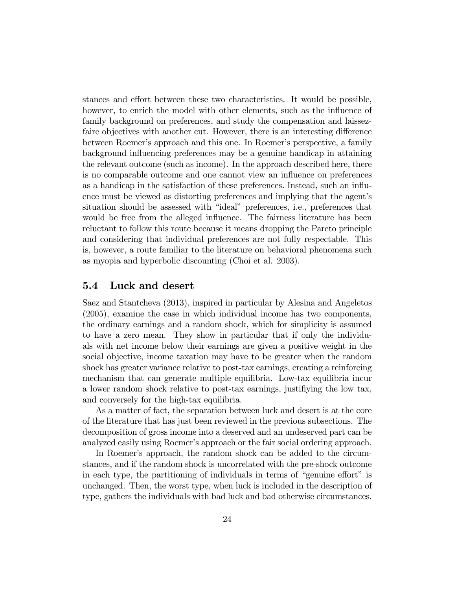stances and effort between these two characteristics. It would be possible, however, to enrich the model with other elements, such as the influence of family background on preferences, and study the compensation and laissezfaire objectives with another cut. However, there is an interesting difference between Roemerís approach and this one. In Roemerís perspective, a family background influencing preferences may be a genuine handicap in attaining the relevant outcome (such as income). In the approach described here, there is no comparable outcome and one cannot view an ináuence on preferences as a handicap in the satisfaction of these preferences. Instead, such an ináuence must be viewed as distorting preferences and implying that the agent's situation should be assessed with "ideal" preferences, i.e., preferences that would be free from the alleged influence. The fairness literature has been reluctant to follow this route because it means dropping the Pareto principle and considering that individual preferences are not fully respectable. This is, however, a route familiar to the literature on behavioral phenomena such as myopia and hyperbolic discounting (Choi et al. 2003).

#### 5.4 Luck and desert

Saez and Stantcheva (2013), inspired in particular by Alesina and Angeletos (2005), examine the case in which individual income has two components, the ordinary earnings and a random shock, which for simplicity is assumed to have a zero mean. They show in particular that if only the individuals with net income below their earnings are given a positive weight in the social objective, income taxation may have to be greater when the random shock has greater variance relative to post-tax earnings, creating a reinforcing mechanism that can generate multiple equilibria. Low-tax equilibria incur a lower random shock relative to post-tax earnings, justifiying the low tax, and conversely for the high-tax equilibria.

As a matter of fact, the separation between luck and desert is at the core of the literature that has just been reviewed in the previous subsections. The decomposition of gross income into a deserved and an undeserved part can be analyzed easily using Roemer's approach or the fair social ordering approach.

In Roemer's approach, the random shock can be added to the circumstances, and if the random shock is uncorrelated with the pre-shock outcome in each type, the partitioning of individuals in terms of "genuine effort" is unchanged. Then, the worst type, when luck is included in the description of type, gathers the individuals with bad luck and bad otherwise circumstances.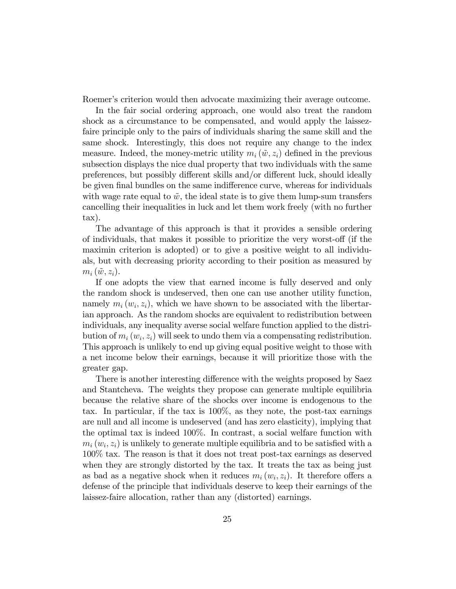Roemerís criterion would then advocate maximizing their average outcome.

In the fair social ordering approach, one would also treat the random shock as a circumstance to be compensated, and would apply the laissezfaire principle only to the pairs of individuals sharing the same skill and the same shock. Interestingly, this does not require any change to the index measure. Indeed, the money-metric utility  $m_i (\tilde{w}, z_i)$  defined in the previous subsection displays the nice dual property that two individuals with the same preferences, but possibly different skills and/or different luck, should ideally be given final bundles on the same indifference curve, whereas for individuals with wage rate equal to  $\tilde{w}$ , the ideal state is to give them lump-sum transfers cancelling their inequalities in luck and let them work freely (with no further tax).

The advantage of this approach is that it provides a sensible ordering of individuals, that makes it possible to prioritize the very worst-off (if the maximin criterion is adopted) or to give a positive weight to all individuals, but with decreasing priority according to their position as measured by  $m_i$   $(\tilde{w}, z_i)$ .

If one adopts the view that earned income is fully deserved and only the random shock is undeserved, then one can use another utility function, namely  $m_i(w_i, z_i)$ , which we have shown to be associated with the libertarian approach. As the random shocks are equivalent to redistribution between individuals, any inequality averse social welfare function applied to the distribution of  $m_i(w_i, z_i)$  will seek to undo them via a compensating redistribution. This approach is unlikely to end up giving equal positive weight to those with a net income below their earnings, because it will prioritize those with the greater gap.

There is another interesting difference with the weights proposed by Saez and Stantcheva. The weights they propose can generate multiple equilibria because the relative share of the shocks over income is endogenous to the tax. In particular, if the tax is 100%, as they note, the post-tax earnings are null and all income is undeserved (and has zero elasticity), implying that the optimal tax is indeed 100%. In contrast, a social welfare function with  $m_i(w_i, z_i)$  is unlikely to generate multiple equilibria and to be satisfied with a 100% tax. The reason is that it does not treat post-tax earnings as deserved when they are strongly distorted by the tax. It treats the tax as being just as bad as a negative shock when it reduces  $m_i(w_i, z_i)$ . It therefore offers a defense of the principle that individuals deserve to keep their earnings of the laissez-faire allocation, rather than any (distorted) earnings.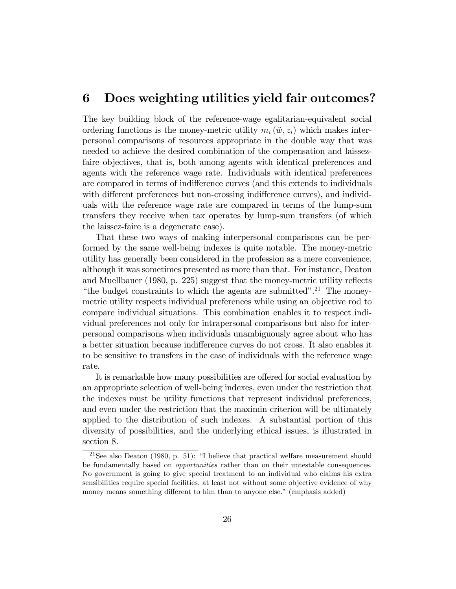### 6 Does weighting utilities yield fair outcomes?

The key building block of the reference-wage egalitarian-equivalent social ordering functions is the money-metric utility  $m_i (\tilde{w}, z_i)$  which makes interpersonal comparisons of resources appropriate in the double way that was needed to achieve the desired combination of the compensation and laissezfaire objectives, that is, both among agents with identical preferences and agents with the reference wage rate. Individuals with identical preferences are compared in terms of indifference curves (and this extends to individuals with different preferences but non-crossing indifference curves), and individuals with the reference wage rate are compared in terms of the lump-sum transfers they receive when tax operates by lump-sum transfers (of which the laissez-faire is a degenerate case).

That these two ways of making interpersonal comparisons can be performed by the same well-being indexes is quite notable. The money-metric utility has generally been considered in the profession as a mere convenience, although it was sometimes presented as more than that. For instance, Deaton and Muellbauer  $(1980, p. 225)$  suggest that the money-metric utility reflects "the budget constraints to which the agents are submitted".<sup>21</sup> The moneymetric utility respects individual preferences while using an objective rod to compare individual situations. This combination enables it to respect individual preferences not only for intrapersonal comparisons but also for interpersonal comparisons when individuals unambiguously agree about who has a better situation because indifference curves do not cross. It also enables it to be sensitive to transfers in the case of individuals with the reference wage rate.

It is remarkable how many possibilities are offered for social evaluation by an appropriate selection of well-being indexes, even under the restriction that the indexes must be utility functions that represent individual preferences, and even under the restriction that the maximin criterion will be ultimately applied to the distribution of such indexes. A substantial portion of this diversity of possibilities, and the underlying ethical issues, is illustrated in section 8.

 $21$ See also Deaton (1980, p. 51): "I believe that practical welfare measurement should be fundamentally based on opportunities rather than on their untestable consequences. No government is going to give special treatment to an individual who claims his extra sensibilities require special facilities, at least not without some objective evidence of why money means something different to him than to anyone else." (emphasis added)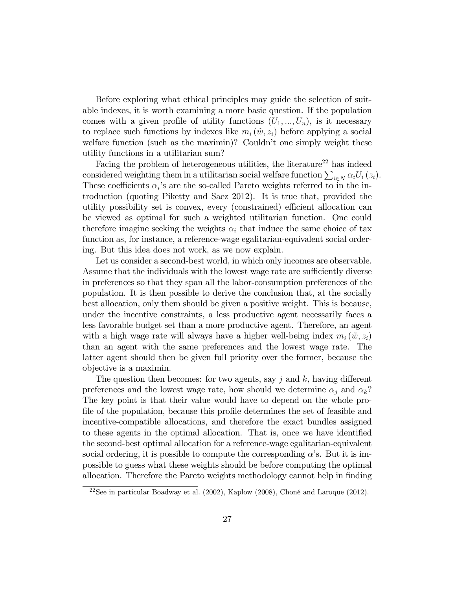Before exploring what ethical principles may guide the selection of suitable indexes, it is worth examining a more basic question. If the population comes with a given profile of utility functions  $(U_1, ..., U_n)$ , is it necessary to replace such functions by indexes like  $m_i (\tilde{w}, z_i)$  before applying a social welfare function (such as the maximin)? Couldn't one simply weight these utility functions in a utilitarian sum?

Facing the problem of heterogeneous utilities, the literature<sup>22</sup> has indeed considered weighting them in a utilitarian social welfare function  $\sum_{i\in N} \alpha_i U_i(z_i)$ . These coefficients  $\alpha_i$ 's are the so-called Pareto weights referred to in the introduction (quoting Piketty and Saez 2012). It is true that, provided the utility possibility set is convex, every (constrained) efficient allocation can be viewed as optimal for such a weighted utilitarian function. One could therefore imagine seeking the weights  $\alpha_i$  that induce the same choice of tax function as, for instance, a reference-wage egalitarian-equivalent social ordering. But this idea does not work, as we now explain.

Let us consider a second-best world, in which only incomes are observable. Assume that the individuals with the lowest wage rate are sufficiently diverse in preferences so that they span all the labor-consumption preferences of the population. It is then possible to derive the conclusion that, at the socially best allocation, only them should be given a positive weight. This is because, under the incentive constraints, a less productive agent necessarily faces a less favorable budget set than a more productive agent. Therefore, an agent with a high wage rate will always have a higher well-being index  $m_i (\tilde{w}, z_i)$ than an agent with the same preferences and the lowest wage rate. The latter agent should then be given full priority over the former, because the objective is a maximin.

The question then becomes: for two agents, say j and  $k$ , having different preferences and the lowest wage rate, how should we determine  $\alpha_j$  and  $\alpha_k$ ? The key point is that their value would have to depend on the whole profile of the population, because this profile determines the set of feasible and incentive-compatible allocations, and therefore the exact bundles assigned to these agents in the optimal allocation. That is, once we have identified the second-best optimal allocation for a reference-wage egalitarian-equivalent social ordering, it is possible to compute the corresponding  $\alpha$ 's. But it is impossible to guess what these weights should be before computing the optimal allocation. Therefore the Pareto weights methodology cannot help in finding

<sup>&</sup>lt;sup>22</sup>See in particular Boadway et al.  $(2002)$ , Kaplow  $(2008)$ , Choné and Laroque  $(2012)$ .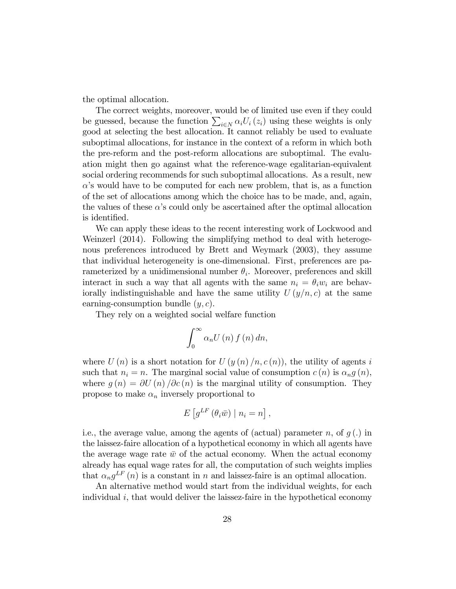the optimal allocation.

The correct weights, moreover, would be of limited use even if they could be guessed, because the function  $\sum_{i \in N} \alpha_i U_i(z_i)$  using these weights is only good at selecting the best allocation. It cannot reliably be used to evaluate suboptimal allocations, for instance in the context of a reform in which both the pre-reform and the post-reform allocations are suboptimal. The evaluation might then go against what the reference-wage egalitarian-equivalent social ordering recommends for such suboptimal allocations. As a result, new  $\alpha$ 's would have to be computed for each new problem, that is, as a function of the set of allocations among which the choice has to be made, and, again, the values of these  $\alpha$ 's could only be ascertained after the optimal allocation is identified.

We can apply these ideas to the recent interesting work of Lockwood and Weinzerl (2014). Following the simplifying method to deal with heterogenous preferences introduced by Brett and Weymark (2003), they assume that individual heterogeneity is one-dimensional. First, preferences are parameterized by a unidimensional number  $\theta_i$ . Moreover, preferences and skill interact in such a way that all agents with the same  $n_i = \theta_i w_i$  are behaviorally indistinguishable and have the same utility  $U(y/n, c)$  at the same earning-consumption bundle  $(y, c)$ .

They rely on a weighted social welfare function

$$
\int_0^\infty \alpha_n U\left(n\right) f\left(n\right) dn,
$$

where  $U(n)$  is a short notation for  $U(y(n)/n, c(n))$ , the utility of agents i such that  $n_i = n$ . The marginal social value of consumption  $c(n)$  is  $\alpha_n g(n)$ , where  $g(n) = \partial U(n) / \partial c(n)$  is the marginal utility of consumption. They propose to make  $\alpha_n$  inversely proportional to

$$
E\left[g^{LF}\left(\theta_i\bar{w}\right) \mid n_i=n\right],
$$

i.e., the average value, among the agents of (actual) parameter n, of  $g(.)$  in the laissez-faire allocation of a hypothetical economy in which all agents have the average wage rate  $\bar{w}$  of the actual economy. When the actual economy already has equal wage rates for all, the computation of such weights implies that  $\alpha_n g^{LF}(n)$  is a constant in n and laissez-faire is an optimal allocation.

An alternative method would start from the individual weights, for each individual  $i$ , that would deliver the laissez-faire in the hypothetical economy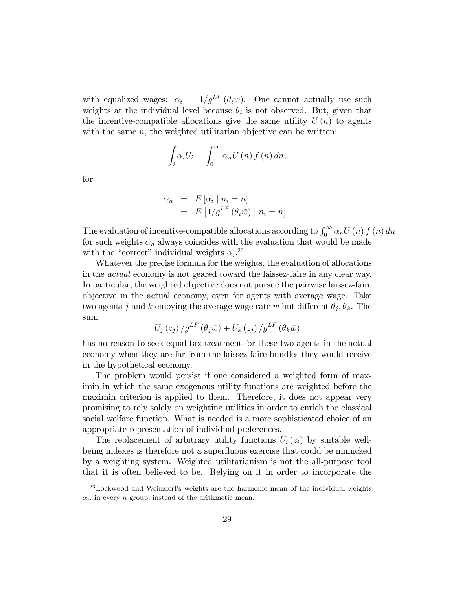with equalized wages:  $\alpha_i = 1/g^{LF}(\theta_i \bar{w})$ . One cannot actually use such weights at the individual level because  $\theta_i$  is not observed. But, given that the incentive-compatible allocations give the same utility  $U(n)$  to agents with the same  $n$ , the weighted utilitarian objective can be written:

$$
\int_{i} \alpha_{i} U_{i} = \int_{0}^{\infty} \alpha_{n} U(n) f(n) dn,
$$

for

$$
\alpha_n = E[\alpha_i | n_i = n]
$$
  
=  $E[1/g^{LF}(\theta_i \bar{w}) | n_i = n].$ 

The evaluation of incentive-compatible allocations according to  $\int_0^\infty \alpha_n U(n) f(n) dn$ for such weights  $\alpha_n$  always coincides with the evaluation that would be made with the "correct" individual weights  $\alpha_i$ <sup>23</sup>

Whatever the precise formula for the weights, the evaluation of allocations in the actual economy is not geared toward the laissez-faire in any clear way. In particular, the weighted objective does not pursue the pairwise laissez-faire objective in the actual economy, even for agents with average wage. Take two agents j and k enjoying the average wage rate  $\bar{w}$  but different  $\theta_j, \theta_k$ . The sum

$$
U_{j}\left(z_{j}\right)/g^{LF}\left(\theta_{j}\bar{w}\right)+U_{k}\left(z_{j}\right)/g^{LF}\left(\theta_{k}\bar{w}\right)
$$

has no reason to seek equal tax treatment for these two agents in the actual economy when they are far from the laissez-faire bundles they would receive in the hypothetical economy.

The problem would persist if one considered a weighted form of maximin in which the same exogenous utility functions are weighted before the maximin criterion is applied to them. Therefore, it does not appear very promising to rely solely on weighting utilities in order to enrich the classical social welfare function. What is needed is a more sophisticated choice of an appropriate representation of individual preferences.

The replacement of arbitrary utility functions  $U_i(z_i)$  by suitable wellbeing indexes is therefore not a superfluous exercise that could be mimicked by a weighting system. Weighted utilitarianism is not the all-purpose tool that it is often believed to be. Relying on it in order to incorporate the

 $^{23}$ Lockwood and Weinzierl's weights are the harmonic mean of the individual weights  $\alpha_i$ , in every n group, instead of the arithmetic mean.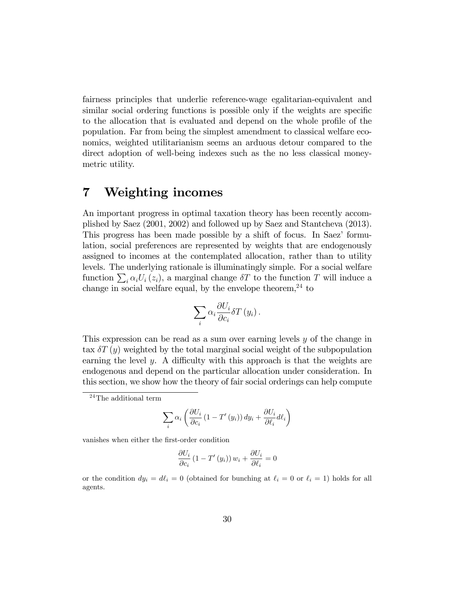fairness principles that underlie reference-wage egalitarian-equivalent and similar social ordering functions is possible only if the weights are specific to the allocation that is evaluated and depend on the whole profile of the population. Far from being the simplest amendment to classical welfare economics, weighted utilitarianism seems an arduous detour compared to the direct adoption of well-being indexes such as the no less classical moneymetric utility.

## 7 Weighting incomes

An important progress in optimal taxation theory has been recently accomplished by Saez (2001, 2002) and followed up by Saez and Stantcheva (2013). This progress has been made possible by a shift of focus. In Saezí formulation, social preferences are represented by weights that are endogenously assigned to incomes at the contemplated allocation, rather than to utility levels. The underlying rationale is illuminatingly simple. For a social welfare function  $\sum_i \alpha_i U_i(z_i)$ , a marginal change  $\delta T$  to the function T will induce a change in social welfare equal, by the envelope theorem,  $24$  to

$$
\sum_{i} \alpha_{i} \frac{\partial U_{i}}{\partial c_{i}} \delta T\left(y_{i}\right).
$$

This expression can be read as a sum over earning levels y of the change in tax  $\delta T(y)$  weighted by the total marginal social weight of the subpopulation earning the level y. A difficulty with this approach is that the weights are endogenous and depend on the particular allocation under consideration. In this section, we show how the theory of fair social orderings can help compute

$$
\sum_i \alpha_i \left( \frac{\partial U_i}{\partial c_i} \left( 1 - T'\left(y_i\right) \right) dy_i + \frac{\partial U_i}{\partial \ell_i} d\ell_i \right)
$$

vanishes when either the first-order condition

$$
\frac{\partial U_i}{\partial c_i} \left( 1 - T'(y_i) \right) w_i + \frac{\partial U_i}{\partial \ell_i} = 0
$$

or the condition  $dy_i = d\ell_i = 0$  (obtained for bunching at  $\ell_i = 0$  or  $\ell_i = 1$ ) holds for all agents.

<sup>24</sup>The additional term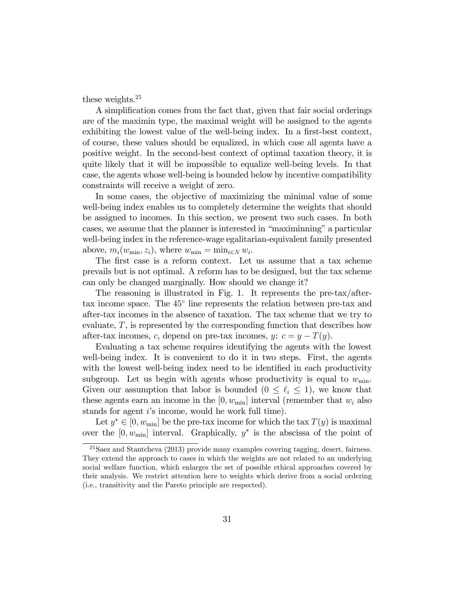these weights.<sup>25</sup>

A simplification comes from the fact that, given that fair social orderings are of the maximin type, the maximal weight will be assigned to the agents exhibiting the lowest value of the well-being index. In a first-best context, of course, these values should be equalized, in which case all agents have a positive weight. In the second-best context of optimal taxation theory, it is quite likely that it will be impossible to equalize well-being levels. In that case, the agents whose well-being is bounded below by incentive compatibility constraints will receive a weight of zero.

In some cases, the objective of maximizing the minimal value of some well-being index enables us to completely determine the weights that should be assigned to incomes. In this section, we present two such cases. In both cases, we assume that the planner is interested in "maximinning" a particular well-being index in the reference-wage egalitarian-equivalent family presented above,  $m_i(w_{\min}, z_i)$ , where  $w_{\min} = \min_{i \in N} w_i$ .

The first case is a reform context. Let us assume that a tax scheme prevails but is not optimal. A reform has to be designed, but the tax scheme can only be changed marginally. How should we change it?

The reasoning is illustrated in Fig. 1. It represents the pre-tax/aftertax income space. The 45 line represents the relation between pre-tax and after-tax incomes in the absence of taxation. The tax scheme that we try to evaluate, T, is represented by the corresponding function that describes how after-tax incomes, c, depend on pre-tax incomes, y:  $c = y - T(y)$ .

Evaluating a tax scheme requires identifying the agents with the lowest well-being index. It is convenient to do it in two steps. First, the agents with the lowest well-being index need to be identified in each productivity subgroup. Let us begin with agents whose productivity is equal to  $w_{\text{min}}$ . Given our assumption that labor is bounded  $(0 \le \ell_i \le 1)$ , we know that these agents earn an income in the  $[0, w_{min}]$  interval (remember that  $w_i$  also stands for agent *i*'s income, would he work full time).

Let  $y^* \in [0, w_{\text{min}}]$  be the pre-tax income for which the tax  $T(y)$  is maximal over the  $[0, w_{\text{min}}]$  interval. Graphically,  $y^*$  is the abscissa of the point of

<sup>25</sup>Saez and Stantcheva (2013) provide many examples covering tagging, desert, fairness. They extend the approach to cases in which the weights are not related to an underlying social welfare function, which enlarges the set of possible ethical approaches covered by their analysis. We restrict attention here to weights which derive from a social ordering (i.e., transitivity and the Pareto principle are respected).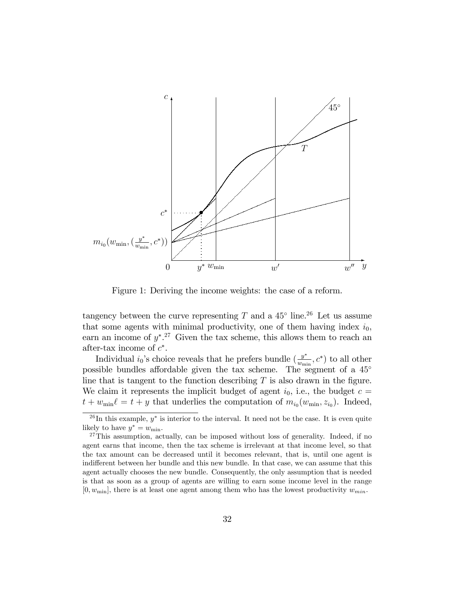

Figure 1: Deriving the income weights: the case of a reform.

tangency between the curve representing T and a  $45^{\circ}$  line.<sup>26</sup> Let us assume that some agents with minimal productivity, one of them having index  $i_0$ , earn an income of  $y^*$ .<sup>27</sup> Given the tax scheme, this allows them to reach an after-tax income of  $c^*$ .

Individual  $i_0$ 's choice reveals that he prefers bundle  $\left(\frac{y^*}{y_{\text{max}}} \right)$  $\frac{y^*}{w_{\min}}$ ,  $c^*$ ) to all other possible bundles affordable given the tax scheme. The segment of a  $45^{\circ}$ line that is tangent to the function describing  $T$  is also drawn in the figure. We claim it represents the implicit budget of agent  $i_0$ , i.e., the budget  $c =$  $t + w_{\min}\ell = t + y$  that underlies the computation of  $m_{i_0}(w_{\min}, z_{i_0})$ . Indeed,

<sup>&</sup>lt;sup>26</sup>In this example,  $y^*$  is interior to the interval. It need not be the case. It is even quite likely to have  $y^* = w_{\min}$ .

<sup>&</sup>lt;sup>27</sup>This assumption, actually, can be imposed without loss of generality. Indeed, if no agent earns that income, then the tax scheme is irrelevant at that income level, so that the tax amount can be decreased until it becomes relevant, that is, until one agent is indifferent between her bundle and this new bundle. In that case, we can assume that this agent actually chooses the new bundle. Consequently, the only assumption that is needed is that as soon as a group of agents are willing to earn some income level in the range  $[0, w_{\min}]$ , there is at least one agent among them who has the lowest productivity  $w_{\min}$ .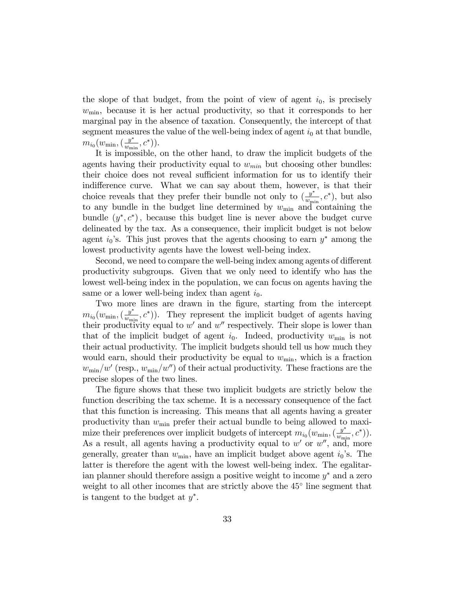the slope of that budget, from the point of view of agent  $i_0$ , is precisely  $w_{\text{min}}$ , because it is her actual productivity, so that it corresponds to her marginal pay in the absence of taxation. Consequently, the intercept of that segment measures the value of the well-being index of agent  $i_0$  at that bundle,  $m_{i_0}(w_{\min}, (\frac{y^*}{w_{\min}}$  $\frac{y^*}{w_{\min}},c^*)$ ).

It is impossible, on the other hand, to draw the implicit budgets of the agents having their productivity equal to  $w_{min}$  but choosing other bundles: their choice does not reveal sufficient information for us to identify their indifference curve. What we can say about them, however, is that their choice reveals that they prefer their bundle not only to  $\left(\frac{y^*}{w}\right)^n$  $\frac{y^*}{w_{\min}}, c^*$ , but also to any bundle in the budget line determined by  $w_{\min}$  and containing the bundle  $(y^*, c^*)$ , because this budget line is never above the budget curve delineated by the tax. As a consequence, their implicit budget is not below agent  $i_0$ 's. This just proves that the agents choosing to earn  $y^*$  among the lowest productivity agents have the lowest well-being index.

Second, we need to compare the well-being index among agents of different productivity subgroups. Given that we only need to identify who has the lowest well-being index in the population, we can focus on agents having the same or a lower well-being index than agent  $i_0$ .

Two more lines are drawn in the figure, starting from the intercept  $m_{i_0}(w_{\min}, (\frac{y^*}{w_{\min}}$  $(\frac{y}{w_{\min}}, c^*)$ . They represent the implicit budget of agents having their productivity equal to  $w'$  and  $w''$  respectively. Their slope is lower than that of the implicit budget of agent  $i_0$ . Indeed, productivity  $w_{\min}$  is not their actual productivity. The implicit budgets should tell us how much they would earn, should their productivity be equal to  $w_{\min}$ , which is a fraction  $w_{\min}/w'$  (resp.,  $w_{\min}/w''$ ) of their actual productivity. These fractions are the precise slopes of the two lines.

The figure shows that these two implicit budgets are strictly below the function describing the tax scheme. It is a necessary consequence of the fact that this function is increasing. This means that all agents having a greater productivity than  $w_{\text{min}}$  prefer their actual bundle to being allowed to maximize their preferences over implicit budgets of intercept  $m_{i_0}(w_{\min}, \left(\frac{y^*}{w_{\min}}\right))$  $\frac{y^*}{w_{\min}},c^*)$ ). As a result, all agents having a productivity equal to  $w'$  or  $w''$ , and, more generally, greater than  $w_{\min}$ , have an implicit budget above agent  $i_0$ 's. The latter is therefore the agent with the lowest well-being index. The egalitarian planner should therefore assign a positive weight to income  $y^*$  and a zero weight to all other incomes that are strictly above the  $45^{\circ}$  line segment that is tangent to the budget at  $y^*$ .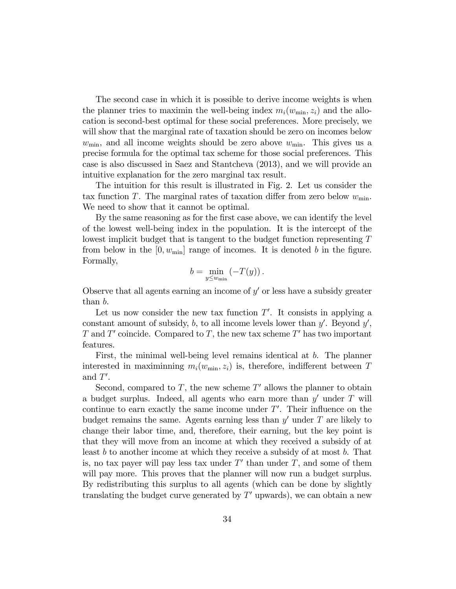The second case in which it is possible to derive income weights is when the planner tries to maximin the well-being index  $m_i(w_{\min}, z_i)$  and the allocation is second-best optimal for these social preferences. More precisely, we will show that the marginal rate of taxation should be zero on incomes below  $w_{\text{min}}$ , and all income weights should be zero above  $w_{\text{min}}$ . This gives us a precise formula for the optimal tax scheme for those social preferences. This case is also discussed in Saez and Stantcheva (2013), and we will provide an intuitive explanation for the zero marginal tax result.

The intuition for this result is illustrated in Fig. 2. Let us consider the tax function T. The marginal rates of taxation differ from zero below  $w_{\text{min}}$ . We need to show that it cannot be optimal.

By the same reasoning as for the first case above, we can identify the level of the lowest well-being index in the population. It is the intercept of the lowest implicit budget that is tangent to the budget function representing T from below in the  $[0, w_{\min}]$  range of incomes. It is denoted b in the figure. Formally,

$$
b = \min_{y \leq w_{\min}} (-T(y)).
$$

Observe that all agents earning an income of  $y'$  or less have a subsidy greater than b.

Let us now consider the new tax function  $T'$ . It consists in applying a constant amount of subsidy,  $b$ , to all income levels lower than  $y'$ . Beyond  $y'$ , T and T' coincide. Compared to T, the new tax scheme T' has two important features.

First, the minimal well-being level remains identical at b. The planner interested in maximinning  $m_i(w_{\min}, z_i)$  is, therefore, indifferent between T and  $T'$ .

Second, compared to  $T$ , the new scheme  $T'$  allows the planner to obtain a budget surplus. Indeed, all agents who earn more than  $y'$  under T will continue to earn exactly the same income under  $T'$ . Their influence on the budget remains the same. Agents earning less than  $y'$  under  $T$  are likely to change their labor time, and, therefore, their earning, but the key point is that they will move from an income at which they received a subsidy of at least b to another income at which they receive a subsidy of at most b. That is, no tax payer will pay less tax under  $T'$  than under  $T$ , and some of them will pay more. This proves that the planner will now run a budget surplus. By redistributing this surplus to all agents (which can be done by slightly translating the budget curve generated by  $T'$  upwards), we can obtain a new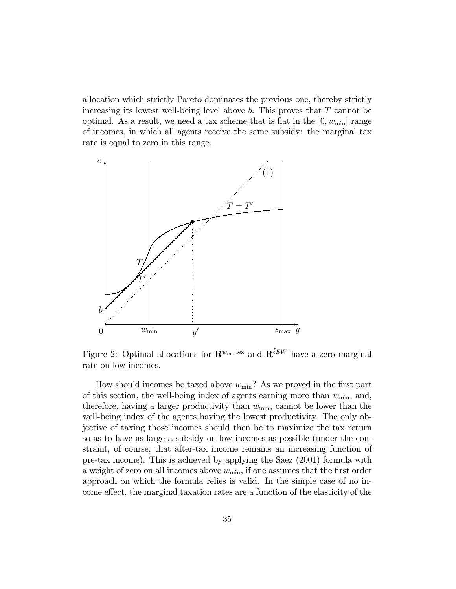allocation which strictly Pareto dominates the previous one, thereby strictly increasing its lowest well-being level above  $b$ . This proves that  $T$  cannot be optimal. As a result, we need a tax scheme that is flat in the  $[0, w_{min}]$  range of incomes, in which all agents receive the same subsidy: the marginal tax rate is equal to zero in this range.



Figure 2: Optimal allocations for  $\mathbf{R}^{w_{\min}\mathrm{lex}}$  and  $\mathbf{R}^{\tilde{\ell}EW}$  have a zero marginal rate on low incomes.

How should incomes be taxed above  $w_{\text{min}}$ ? As we proved in the first part of this section, the well-being index of agents earning more than  $w_{\min}$ , and, therefore, having a larger productivity than  $w_{\min}$ , cannot be lower than the well-being index of the agents having the lowest productivity. The only objective of taxing those incomes should then be to maximize the tax return so as to have as large a subsidy on low incomes as possible (under the constraint, of course, that after-tax income remains an increasing function of pre-tax income). This is achieved by applying the Saez (2001) formula with a weight of zero on all incomes above  $w_{\min}$ , if one assumes that the first order approach on which the formula relies is valid. In the simple case of no income effect, the marginal taxation rates are a function of the elasticity of the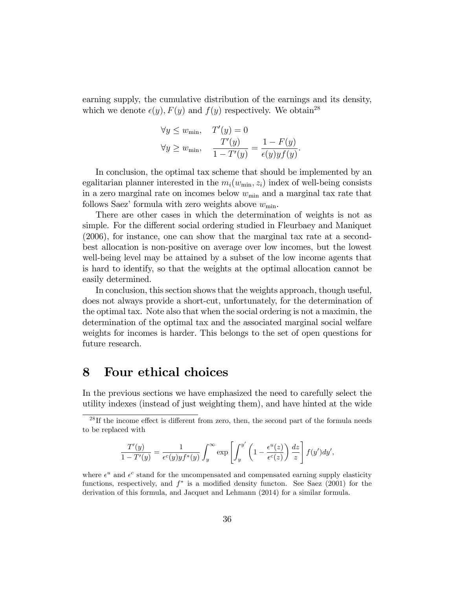earning supply, the cumulative distribution of the earnings and its density, which we denote  $\epsilon(y)$ ,  $F(y)$  and  $f(y)$  respectively. We obtain<sup>28</sup>

$$
\forall y \le w_{\min}, \quad T'(y) = 0
$$
  

$$
\forall y \ge w_{\min}, \quad \frac{T'(y)}{1 - T'(y)} = \frac{1 - F(y)}{\epsilon(y)yf(y)}.
$$

In conclusion, the optimal tax scheme that should be implemented by an egalitarian planner interested in the  $m_i(w_{\min}, z_i)$  index of well-being consists in a zero marginal rate on incomes below  $w_{\text{min}}$  and a marginal tax rate that follows Saez' formula with zero weights above  $w_{\min}$ .

There are other cases in which the determination of weights is not as simple. For the different social ordering studied in Fleurbaey and Maniquet (2006), for instance, one can show that the marginal tax rate at a secondbest allocation is non-positive on average over low incomes, but the lowest well-being level may be attained by a subset of the low income agents that is hard to identify, so that the weights at the optimal allocation cannot be easily determined.

In conclusion, this section shows that the weights approach, though useful, does not always provide a short-cut, unfortunately, for the determination of the optimal tax. Note also that when the social ordering is not a maximin, the determination of the optimal tax and the associated marginal social welfare weights for incomes is harder. This belongs to the set of open questions for future research.

### 8 Four ethical choices

In the previous sections we have emphasized the need to carefully select the utility indexes (instead of just weighting them), and have hinted at the wide

$$
\frac{T'(y)}{1-T'(y)} = \frac{1}{\epsilon^c(y)yf^*(y)} \int_y^\infty \exp\left[\int_y^{y'} \left(1 - \frac{\epsilon^u(z)}{\epsilon^c(z)}\right) \frac{dz}{z}\right] f(y')dy',
$$

 $^{28}$  If the income effect is different from zero, then, the second part of the formula needs to be replaced with

where  $\epsilon^u$  and  $\epsilon^c$  stand for the uncompensated and compensated earning supply elasticity functions, respectively, and  $f^*$  is a modified density functon. See Saez (2001) for the derivation of this formula, and Jacquet and Lehmann (2014) for a similar formula.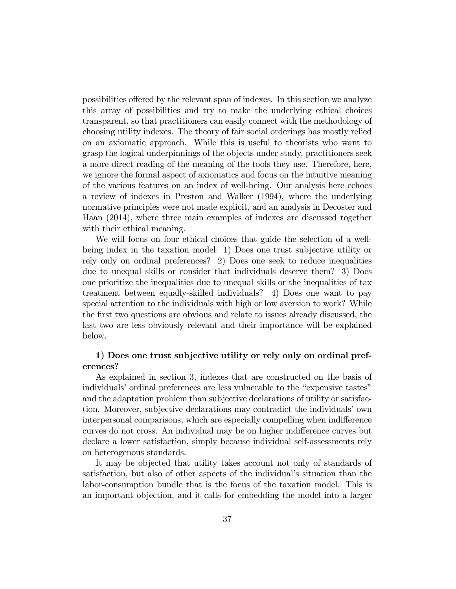possibilities offered by the relevant span of indexes. In this section we analyze this array of possibilities and try to make the underlying ethical choices transparent, so that practitioners can easily connect with the methodology of choosing utility indexes. The theory of fair social orderings has mostly relied on an axiomatic approach. While this is useful to theorists who want to grasp the logical underpinnings of the objects under study, practitioners seek a more direct reading of the meaning of the tools they use. Therefore, here, we ignore the formal aspect of axiomatics and focus on the intuitive meaning of the various features on an index of well-being. Our analysis here echoes a review of indexes in Preston and Walker (1994), where the underlying normative principles were not made explicit, and an analysis in Decoster and Haan (2014), where three main examples of indexes are discussed together with their ethical meaning.

We will focus on four ethical choices that guide the selection of a wellbeing index in the taxation model: 1) Does one trust subjective utility or rely only on ordinal preferences? 2) Does one seek to reduce inequalities due to unequal skills or consider that individuals deserve them? 3) Does one prioritize the inequalities due to unequal skills or the inequalities of tax treatment between equally-skilled individuals? 4) Does one want to pay special attention to the individuals with high or low aversion to work? While the Örst two questions are obvious and relate to issues already discussed, the last two are less obviously relevant and their importance will be explained below.

#### 1) Does one trust subjective utility or rely only on ordinal preferences?

As explained in section 3, indexes that are constructed on the basis of individuals' ordinal preferences are less vulnerable to the "expensive tastes" and the adaptation problem than subjective declarations of utility or satisfaction. Moreover, subjective declarations may contradict the individuals' own interpersonal comparisons, which are especially compelling when indifference curves do not cross. An individual may be on higher indifference curves but declare a lower satisfaction, simply because individual self-assessments rely on heterogenous standards.

It may be objected that utility takes account not only of standards of satisfaction, but also of other aspects of the individual's situation than the labor-consumption bundle that is the focus of the taxation model. This is an important objection, and it calls for embedding the model into a larger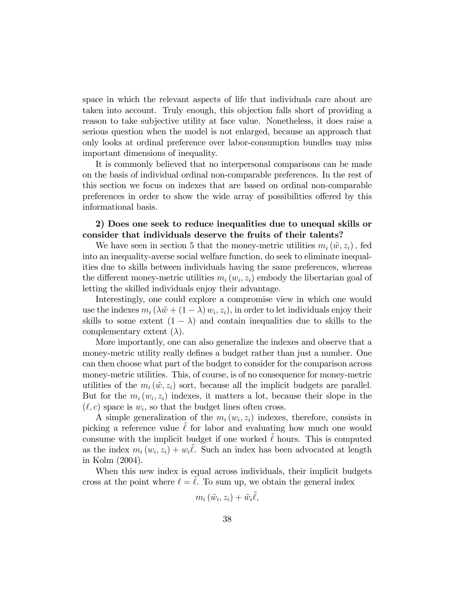space in which the relevant aspects of life that individuals care about are taken into account. Truly enough, this objection falls short of providing a reason to take subjective utility at face value. Nonetheless, it does raise a serious question when the model is not enlarged, because an approach that only looks at ordinal preference over labor-consumption bundles may miss important dimensions of inequality.

It is commonly believed that no interpersonal comparisons can be made on the basis of individual ordinal non-comparable preferences. In the rest of this section we focus on indexes that are based on ordinal non-comparable preferences in order to show the wide array of possibilities offered by this informational basis.

#### 2) Does one seek to reduce inequalities due to unequal skills or consider that individuals deserve the fruits of their talents?

We have seen in section 5 that the money-metric utilities  $m_i (\tilde{w}, z_i)$ , fed into an inequality-averse social welfare function, do seek to eliminate inequalities due to skills between individuals having the same preferences, whereas the different money-metric utilities  $m_i(w_i, z_i)$  embody the libertarian goal of letting the skilled individuals enjoy their advantage.

Interestingly, one could explore a compromise view in which one would use the indexes  $m_i (\lambda \tilde{w} + (1 - \lambda) w_i, z_i)$ , in order to let individuals enjoy their skills to some extent  $(1 - \lambda)$  and contain inequalities due to skills to the complementary extent  $(\lambda)$ .

More importantly, one can also generalize the indexes and observe that a money-metric utility really defines a budget rather than just a number. One can then choose what part of the budget to consider for the comparison across money-metric utilities. This, of course, is of no consequence for money-metric utilities of the  $m_i (\tilde{w}, z_i)$  sort, because all the implicit budgets are parallel. But for the  $m_i(w_i, z_i)$  indexes, it matters a lot, because their slope in the  $(\ell, c)$  space is  $w_i$ , so that the budget lines often cross.

A simple generalization of the  $m_i(w_i, z_i)$  indexes, therefore, consists in picking a reference value  $\ell$  for labor and evaluating how much one would consume with the implicit budget if one worked  $\ell$  hours. This is computed as the index  $m_i(w_i, z_i) + w_i \tilde{\ell}$ . Such an index has been advocated at length in Kolm (2004).

When this new index is equal across individuals, their implicit budgets cross at the point where  $\ell = \ell$ . To sum up, we obtain the general index

$$
m_{i}\left(\tilde{w}_{i},z_{i}\right)+\tilde{w}_{i}\tilde{\ell},
$$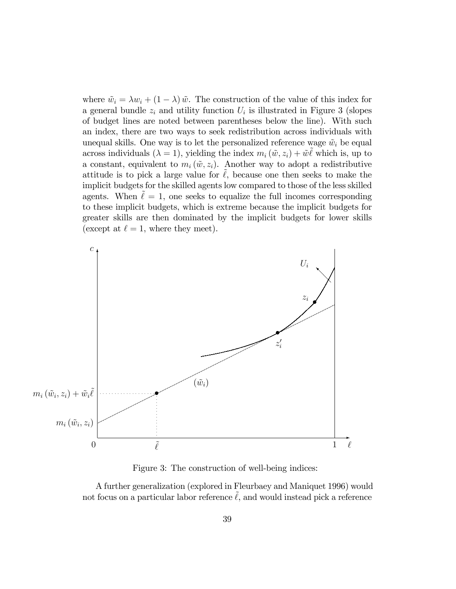where  $\tilde{w}_i = \lambda w_i + (1 - \lambda) \tilde{w}$ . The construction of the value of this index for a general bundle  $z_i$  and utility function  $U_i$  is illustrated in Figure 3 (slopes of budget lines are noted between parentheses below the line). With such an index, there are two ways to seek redistribution across individuals with unequal skills. One way is to let the personalized reference wage  $\tilde{w}_i$  be equal across individuals ( $\lambda = 1$ ), yielding the index  $m_i$  ( $\tilde{w}, z_i$ ) +  $\tilde{w}\tilde{\ell}$  which is, up to a constant, equivalent to  $m_i (\tilde{w}, z_i)$ . Another way to adopt a redistributive attitude is to pick a large value for  $\ell$ , because one then seeks to make the implicit budgets for the skilled agents low compared to those of the less skilled agents. When  $\ell = 1$ , one seeks to equalize the full incomes corresponding to these implicit budgets, which is extreme because the implicit budgets for greater skills are then dominated by the implicit budgets for lower skills (except at  $\ell = 1$ , where they meet).



Figure 3: The construction of well-being indices:

A further generalization (explored in Fleurbaey and Maniquet 1996) would not focus on a particular labor reference  $\ell$ , and would instead pick a reference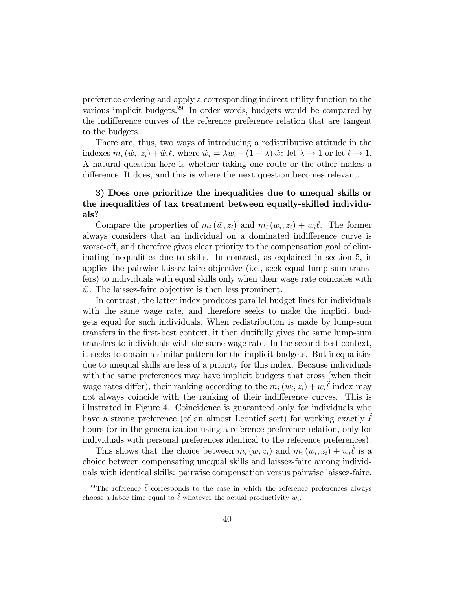preference ordering and apply a corresponding indirect utility function to the various implicit budgets.<sup>29</sup> In order words, budgets would be compared by the indifference curves of the reference preference relation that are tangent to the budgets.

There are, thus, two ways of introducing a redistributive attitude in the indexes  $m_i$   $(\tilde{w}_i, z_i) + \tilde{w}_i \tilde{\ell}$ , where  $\tilde{w}_i = \lambda w_i + (1 - \lambda) \tilde{w}$ : let  $\lambda \to 1$  or let  $\tilde{\ell} \to 1$ . A natural question here is whether taking one route or the other makes a difference. It does, and this is where the next question becomes relevant.

### 3) Does one prioritize the inequalities due to unequal skills or the inequalities of tax treatment between equally-skilled individuals?

Compare the properties of  $m_i(\tilde{w}, z_i)$  and  $m_i(w_i, z_i) + w_i \tilde{\ell}$ . The former always considers that an individual on a dominated indifference curve is worse-off, and therefore gives clear priority to the compensation goal of eliminating inequalities due to skills. In contrast, as explained in section 5, it applies the pairwise laissez-faire objective (i.e., seek equal lump-sum transfers) to individuals with equal skills only when their wage rate coincides with  $\tilde{w}$ . The laissez-faire objective is then less prominent.

In contrast, the latter index produces parallel budget lines for individuals with the same wage rate, and therefore seeks to make the implicit budgets equal for such individuals. When redistribution is made by lump-sum transfers in the Örst-best context, it then dutifully gives the same lump-sum transfers to individuals with the same wage rate. In the second-best context, it seeks to obtain a similar pattern for the implicit budgets. But inequalities due to unequal skills are less of a priority for this index. Because individuals with the same preferences may have implicit budgets that cross (when their wage rates differ), their ranking according to the  $m_i(w_i, z_i) + w_i \tilde{\ell}$  index may not always coincide with the ranking of their indifference curves. This is illustrated in Figure 4. Coincidence is guaranteed only for individuals who have a strong preference (of an almost Leontief sort) for working exactly  $\ell$ hours (or in the generalization using a reference preference relation, only for individuals with personal preferences identical to the reference preferences).

This shows that the choice between  $m_i(\tilde{w}, z_i)$  and  $m_i(w_i, z_i) + w_i \tilde{\ell}$  is a choice between compensating unequal skills and laissez-faire among individuals with identical skills: pairwise compensation versus pairwise laissez-faire.

<sup>&</sup>lt;sup>29</sup>The reference  $\tilde{\ell}$  corresponds to the case in which the reference preferences always choose a labor time equal to  $\tilde{\ell}$  whatever the actual productivity  $w_i$ .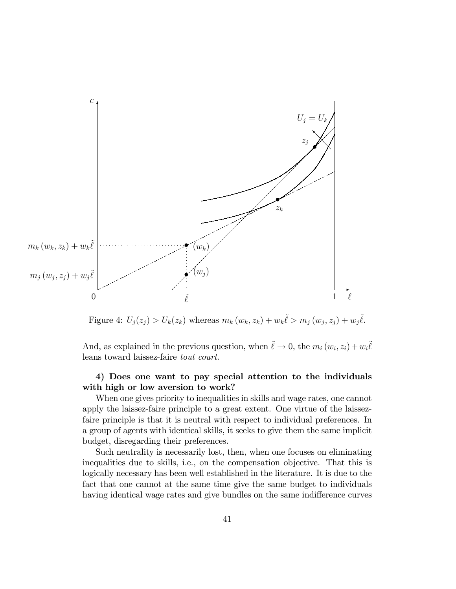

Figure 4:  $U_j(z_j) > U_k(z_k)$  whereas  $m_k(w_k, z_k) + w_k \tilde{\ell} > m_j(w_j, z_j) + w_j \tilde{\ell}$ .

And, as explained in the previous question, when  $\tilde{\ell} \to 0$ , the  $m_i (w_i, z_i) + w_i \tilde{\ell}$ leans toward laissez-faire tout court.

#### 4) Does one want to pay special attention to the individuals with high or low aversion to work?

When one gives priority to inequalities in skills and wage rates, one cannot apply the laissez-faire principle to a great extent. One virtue of the laissezfaire principle is that it is neutral with respect to individual preferences. In a group of agents with identical skills, it seeks to give them the same implicit budget, disregarding their preferences.

Such neutrality is necessarily lost, then, when one focuses on eliminating inequalities due to skills, i.e., on the compensation objective. That this is logically necessary has been well established in the literature. It is due to the fact that one cannot at the same time give the same budget to individuals having identical wage rates and give bundles on the same indifference curves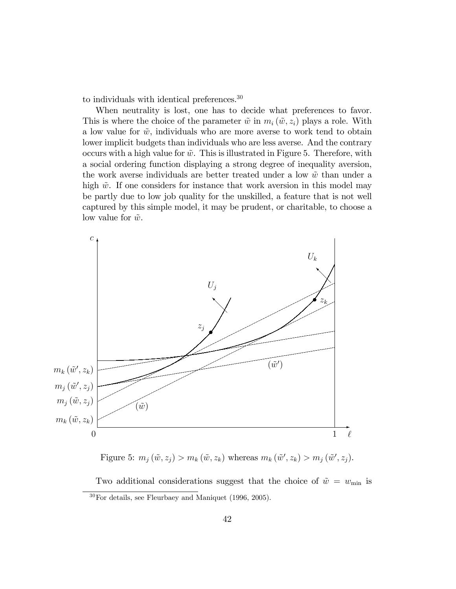to individuals with identical preferences.  $\!30}$ 

When neutrality is lost, one has to decide what preferences to favor. This is where the choice of the parameter  $\tilde{w}$  in  $m_i (\tilde{w}, z_i)$  plays a role. With a low value for  $\tilde{w}$ , individuals who are more averse to work tend to obtain lower implicit budgets than individuals who are less averse. And the contrary occurs with a high value for  $\tilde{w}$ . This is illustrated in Figure 5. Therefore, with a social ordering function displaying a strong degree of inequality aversion, the work averse individuals are better treated under a low  $\tilde{w}$  than under a high  $\tilde{w}$ . If one considers for instance that work aversion in this model may be partly due to low job quality for the unskilled, a feature that is not well captured by this simple model, it may be prudent, or charitable, to choose a low value for  $\tilde{w}$ .



Figure 5:  $m_j(\tilde{w}, z_j) > m_k(\tilde{w}, z_k)$  whereas  $m_k(\tilde{w}', z_k) > m_j(\tilde{w}', z_j)$ .

Two additional considerations suggest that the choice of  $\tilde{w} = w_{\min}$  is  $30$  For details, see Fleurbaey and Maniquet (1996, 2005).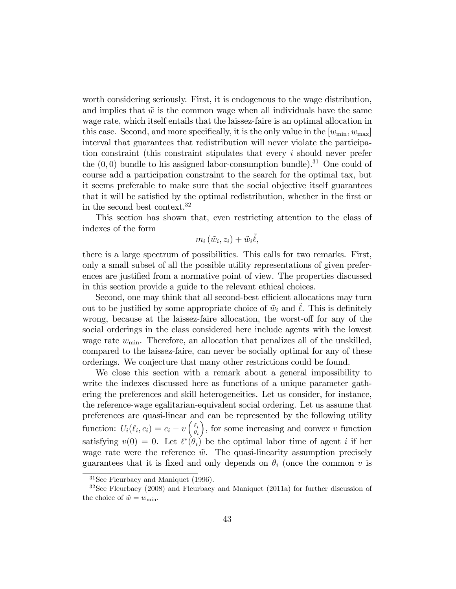worth considering seriously. First, it is endogenous to the wage distribution, and implies that  $\tilde{w}$  is the common wage when all individuals have the same wage rate, which itself entails that the laissez-faire is an optimal allocation in this case. Second, and more specifically, it is the only value in the  $[w_{\min}, w_{\max}]$ interval that guarantees that redistribution will never violate the participation constraint (this constraint stipulates that every i should never prefer the  $(0,0)$  bundle to his assigned labor-consumption bundle).<sup>31</sup> One could of course add a participation constraint to the search for the optimal tax, but it seems preferable to make sure that the social objective itself guarantees that it will be satisfied by the optimal redistribution, whether in the first or in the second best context.<sup>32</sup>

This section has shown that, even restricting attention to the class of indexes of the form

$$
m_i\left(\tilde{w}_i,z_i\right)+\tilde{w}_i\tilde{\ell},
$$

there is a large spectrum of possibilities. This calls for two remarks. First, only a small subset of all the possible utility representations of given preferences are justified from a normative point of view. The properties discussed in this section provide a guide to the relevant ethical choices.

Second, one may think that all second-best efficient allocations may turn out to be justified by some appropriate choice of  $\tilde{w}_i$  and  $\ell$ . This is definitely wrong, because at the laissez-faire allocation, the worst-off for any of the social orderings in the class considered here include agents with the lowest wage rate  $w_{\text{min}}$ . Therefore, an allocation that penalizes all of the unskilled, compared to the laissez-faire, can never be socially optimal for any of these orderings. We conjecture that many other restrictions could be found.

We close this section with a remark about a general impossibility to write the indexes discussed here as functions of a unique parameter gathering the preferences and skill heterogeneities. Let us consider, for instance, the reference-wage egalitarian-equivalent social ordering. Let us assume that preferences are quasi-linear and can be represented by the following utility function:  $U_i(\ell_i, c_i) = c_i - v \left( \frac{\ell_i}{\theta_i} \right)$  $\theta_i$ ), for some increasing and convex  $v$  function satisfying  $v(0) = 0$ . Let  $\ell^*(\theta_i)$  be the optimal labor time of agent i if her wage rate were the reference  $\tilde{w}$ . The quasi-linearity assumption precisely guarantees that it is fixed and only depends on  $\theta_i$  (once the common v is

 $31$ See Fleurbaey and Maniquet (1996).

 $32$ See Fleurbaey (2008) and Fleurbaey and Maniquet (2011a) for further discussion of the choice of  $\tilde{w} = w_{\min}$ .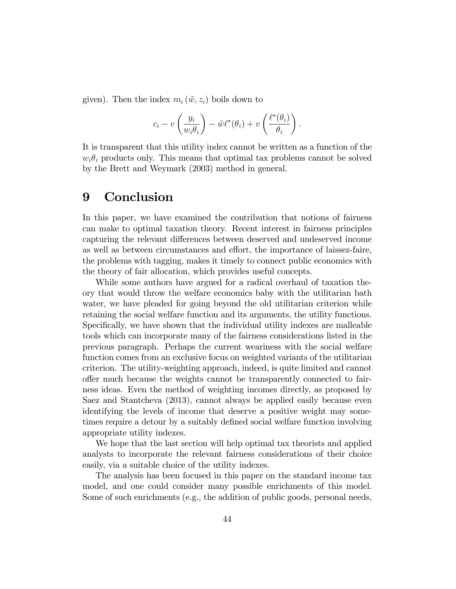given). Then the index  $m_i$  ( $\tilde{w}, z_i$ ) boils down to

$$
c_i - v\left(\frac{y_i}{w_i\theta_i}\right) - \tilde{w}\ell^*(\theta_i) + v\left(\frac{\ell^*(\theta_i)}{\theta_i}\right).
$$

It is transparent that this utility index cannot be written as a function of the  $w_i\theta_i$  products only. This means that optimal tax problems cannot be solved by the Brett and Weymark (2003) method in general.

### 9 Conclusion

In this paper, we have examined the contribution that notions of fairness can make to optimal taxation theory. Recent interest in fairness principles capturing the relevant differences between deserved and undeserved income as well as between circumstances and effort, the importance of laissez-faire, the problems with tagging, makes it timely to connect public economics with the theory of fair allocation, which provides useful concepts.

While some authors have argued for a radical overhaul of taxation theory that would throw the welfare economics baby with the utilitarian bath water, we have pleaded for going beyond the old utilitarian criterion while retaining the social welfare function and its arguments, the utility functions. Specifically, we have shown that the individual utility indexes are malleable tools which can incorporate many of the fairness considerations listed in the previous paragraph. Perhaps the current weariness with the social welfare function comes from an exclusive focus on weighted variants of the utilitarian criterion. The utility-weighting approach, indeed, is quite limited and cannot offer much because the weights cannot be transparently connected to fairness ideas. Even the method of weighting incomes directly, as proposed by Saez and Stantcheva (2013), cannot always be applied easily because even identifying the levels of income that deserve a positive weight may sometimes require a detour by a suitably defined social welfare function involving appropriate utility indexes.

We hope that the last section will help optimal tax theorists and applied analysts to incorporate the relevant fairness considerations of their choice easily, via a suitable choice of the utility indexes.

The analysis has been focused in this paper on the standard income tax model, and one could consider many possible enrichments of this model. Some of such enrichments (e.g., the addition of public goods, personal needs,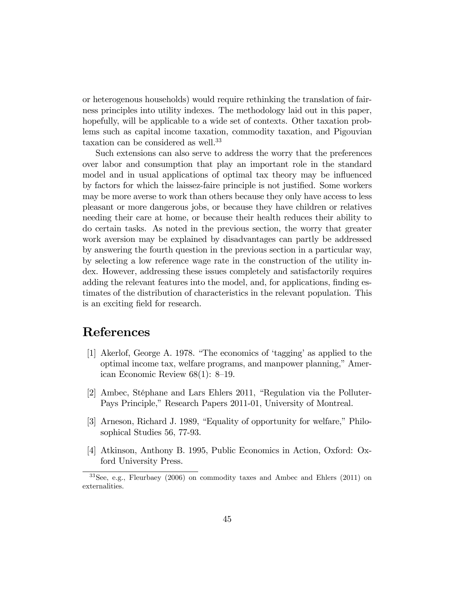or heterogenous households) would require rethinking the translation of fairness principles into utility indexes. The methodology laid out in this paper, hopefully, will be applicable to a wide set of contexts. Other taxation problems such as capital income taxation, commodity taxation, and Pigouvian taxation can be considered as well.<sup>33</sup>

Such extensions can also serve to address the worry that the preferences over labor and consumption that play an important role in the standard model and in usual applications of optimal tax theory may be influenced by factors for which the laissez-faire principle is not justified. Some workers may be more averse to work than others because they only have access to less pleasant or more dangerous jobs, or because they have children or relatives needing their care at home, or because their health reduces their ability to do certain tasks. As noted in the previous section, the worry that greater work aversion may be explained by disadvantages can partly be addressed by answering the fourth question in the previous section in a particular way, by selecting a low reference wage rate in the construction of the utility index. However, addressing these issues completely and satisfactorily requires adding the relevant features into the model, and, for applications, finding estimates of the distribution of characteristics in the relevant population. This is an exciting field for research.

## References

- $[1]$  Akerlof, George A. 1978. "The economics of 'tagging' as applied to the optimal income tax, welfare programs, and manpower planning," American Economic Review  $68(1)$ : 8–19.
- [2] Ambec, Stéphane and Lars Ehlers 2011, "Regulation via the Polluter-Pays Principle," Research Papers 2011-01, University of Montreal.
- $[3]$  Arneson, Richard J. 1989, "Equality of opportunity for welfare," Philosophical Studies 56, 77-93.
- [4] Atkinson, Anthony B. 1995, Public Economics in Action, Oxford: Oxford University Press.

 $33$ See, e.g., Fleurbaey (2006) on commodity taxes and Ambec and Ehlers (2011) on externalities.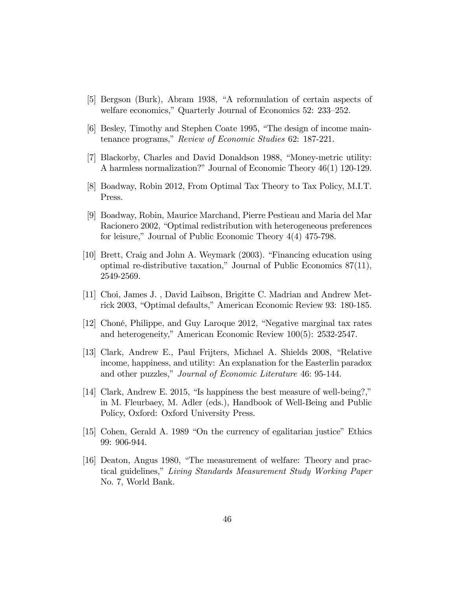- [5] Bergson (Burk), Abram 1938, "A reformulation of certain aspects of welfare economics," Quarterly Journal of Economics 52: 233–252.
- [6] Besley, Timothy and Stephen Coate 1995, "The design of income maintenance programs," Review of Economic Studies 62: 187-221.
- [7] Blackorby, Charles and David Donaldson 1988, "Money-metric utility: A harmless normalization?" Journal of Economic Theory 46(1) 120-129.
- [8] Boadway, Robin 2012, From Optimal Tax Theory to Tax Policy, M.I.T. Press.
- [9] Boadway, Robin, Maurice Marchand, Pierre Pestieau and Maria del Mar Racionero 2002, "Optimal redistribution with heterogeneous preferences for leisure," Journal of Public Economic Theory  $4(4)$  475-798.
- $[10]$  Brett, Craig and John A. Weymark  $(2003)$ . "Financing education using optimal re-distributive taxation," Journal of Public Economics  $87(11)$ , 2549-2569.
- [11] Choi, James J. , David Laibson, Brigitte C. Madrian and Andrew Metrick 2003, "Optimal defaults," American Economic Review 93: 180-185.
- $[12]$  Choné, Philippe, and Guy Laroque 2012, "Negative marginal tax rates and heterogeneity," American Economic Review 100(5): 2532-2547.
- [13] Clark, Andrew E., Paul Frijters, Michael A. Shields 2008, "Relative income, happiness, and utility: An explanation for the Easterlin paradox and other puzzles," Journal of Economic Literature 46: 95-144.
- [14] Clark, Andrew E. 2015, "Is happiness the best measure of well-being?," in M. Fleurbaey, M. Adler (eds.), Handbook of Well-Being and Public Policy, Oxford: Oxford University Press.
- $[15]$  Cohen, Gerald A. 1989 "On the currency of egalitarian justice" Ethics 99: 906-944.
- [16] Deaton, Angus 1980, "The measurement of welfare: Theory and practical guidelines," Living Standards Measurement Study Working Paper No. 7, World Bank.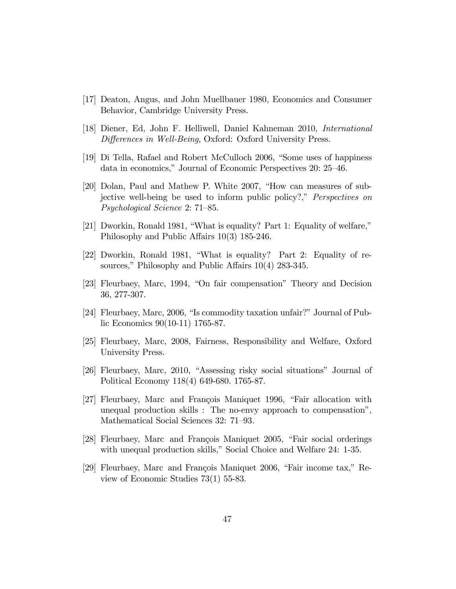- [17] Deaton, Angus, and John Muellbauer 1980, Economics and Consumer Behavior, Cambridge University Press.
- [18] Diener, Ed, John F. Helliwell, Daniel Kahneman 2010, International Differences in Well-Being, Oxford: Oxford University Press.
- [19] Di Tella, Rafael and Robert McCulloch 2006, "Some uses of happiness" data in economics," Journal of Economic Perspectives 20: 25–46.
- $[20]$  Dolan, Paul and Mathew P. White 2007, "How can measures of subjective well-being be used to inform public policy?," Perspectives on  $Psychological Science 2: 71–85.$
- [21] Dworkin, Ronald 1981, "What is equality? Part 1: Equality of welfare," Philosophy and Public Affairs  $10(3)$  185-246.
- [22] Dworkin, Ronald 1981, "What is equality? Part 2: Equality of resources," Philosophy and Public Affairs  $10(4)$  283-345.
- [23] Fleurbaey, Marc, 1994, "On fair compensation" Theory and Decision 36, 277-307.
- [24] Fleurbaey, Marc, 2006, "Is commodity taxation unfair?" Journal of Public Economics 90(10-11) 1765-87.
- [25] Fleurbaey, Marc, 2008, Fairness, Responsibility and Welfare, Oxford University Press.
- [26] Fleurbaey, Marc, 2010, "Assessing risky social situations" Journal of Political Economy 118(4) 649-680. 1765-87.
- [27] Fleurbaey, Marc and François Maniquet 1996, "Fair allocation with unequal production skills : The no-envy approach to compensation", Mathematical Social Sciences 32: 71–93.
- [28] Fleurbaey, Marc and François Maniquet 2005, "Fair social orderings with unequal production skills," Social Choice and Welfare 24: 1-35.
- [29] Fleurbaey, Marc and François Maniquet 2006, "Fair income tax," Review of Economic Studies 73(1) 55-83.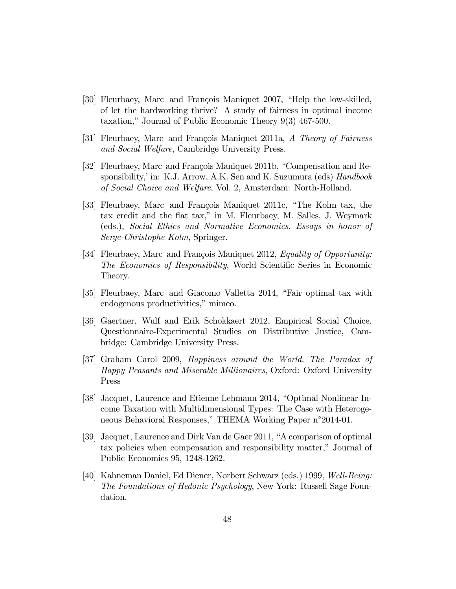- [30] Fleurbaey, Marc and François Maniquet 2007, "Help the low-skilled, of let the hardworking thrive? A study of fairness in optimal income taxation," Journal of Public Economic Theory  $9(3)$  467-500.
- [31] Fleurbaey, Marc and François Maniquet 2011a, A Theory of Fairness and Social Welfare, Cambridge University Press.
- [32] Fleurbaey, Marc and François Maniquet 2011b, "Compensation and Responsibility,' in: K.J. Arrow, A.K. Sen and K. Suzumura (eds) *Handbook* of Social Choice and Welfare, Vol. 2, Amsterdam: North-Holland.
- [33] Fleurbaey, Marc and François Maniquet 2011c, "The Kolm tax, the tax credit and the flat tax," in M. Fleurbaey, M. Salles, J. Weymark (eds.), Social Ethics and Normative Economics. Essays in honor of Serge-Christophe Kolm, Springer.
- [34] Fleurbaey, Marc and François Maniquet 2012, Equality of Opportunity: The Economics of Responsibility, World Scientific Series in Economic Theory.
- [35] Fleurbaey, Marc and Giacomo Valletta 2014, "Fair optimal tax with endogenous productivities," mimeo.
- [36] Gaertner, Wulf and Erik Schokkaert 2012, Empirical Social Choice. Questionnaire-Experimental Studies on Distributive Justice, Cambridge: Cambridge University Press.
- [37] Graham Carol 2009, Happiness around the World. The Paradox of Happy Peasants and Miserable Millionaires, Oxford: Oxford University Press
- [38] Jacquet, Laurence and Etienne Lehmann 2014, "Optimal Nonlinear Income Taxation with Multidimensional Types: The Case with Heterogeneous Behavioral Responses," THEMA Working Paper n°2014-01.
- [39] Jacquet, Laurence and Dirk Van de Gaer 2011, "A comparison of optimal tax policies when compensation and responsibility matter," Journal of Public Economics 95, 1248-1262.
- [40] Kahneman Daniel, Ed Diener, Norbert Schwarz (eds.) 1999, Well-Being: The Foundations of Hedonic Psychology, New York: Russell Sage Foundation.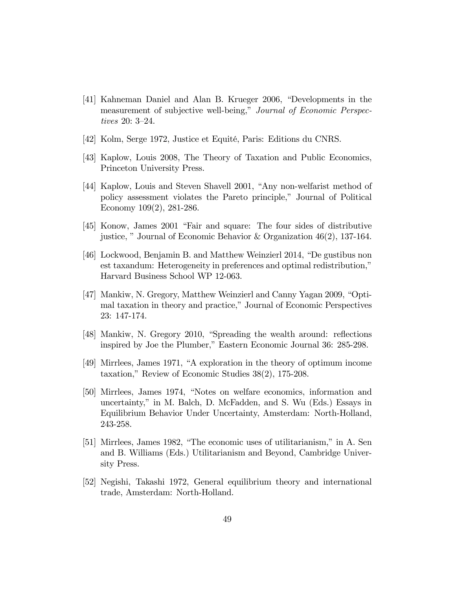- [41] Kahneman Daniel and Alan B. Krueger 2006, "Developments in the measurement of subjective well-being," Journal of Economic Perspectives  $20: 3-24.$
- [42] Kolm, Serge 1972, Justice et Equité, Paris: Editions du CNRS.
- [43] Kaplow, Louis 2008, The Theory of Taxation and Public Economics, Princeton University Press.
- [44] Kaplow, Louis and Steven Shavell 2001, "Any non-welfarist method of policy assessment violates the Pareto principle," Journal of Political Economy 109(2), 281-286.
- [45] Konow, James 2001 "Fair and square: The four sides of distributive justice, "Journal of Economic Behavior & Organization  $46(2)$ , 137-164.
- [46] Lockwood, Benjamin B. and Matthew Weinzierl 2014, "De gustibus non est taxandum: Heterogeneity in preferences and optimal redistribution," Harvard Business School WP 12-063.
- [47] Mankiw, N. Gregory, Matthew Weinzierl and Canny Yagan 2009, "Optimal taxation in theory and practice," Journal of Economic Perspectives 23: 147-174.
- [48] Mankiw, N. Gregory 2010, "Spreading the wealth around: reflections inspired by Joe the Plumber," Eastern Economic Journal 36: 285-298.
- [49] Mirrlees, James 1971, "A exploration in the theory of optimum income taxation," Review of Economic Studies  $38(2)$ , 175-208.
- [50] Mirrlees, James 1974, "Notes on welfare economics, information and uncertainty," in M. Balch, D. McFadden, and S. Wu (Eds.) Essays in Equilibrium Behavior Under Uncertainty, Amsterdam: North-Holland, 243-258.
- [51] Mirrlees, James 1982, "The economic uses of utilitarianism," in A. Sen and B. Williams (Eds.) Utilitarianism and Beyond, Cambridge University Press.
- [52] Negishi, Takashi 1972, General equilibrium theory and international trade, Amsterdam: North-Holland.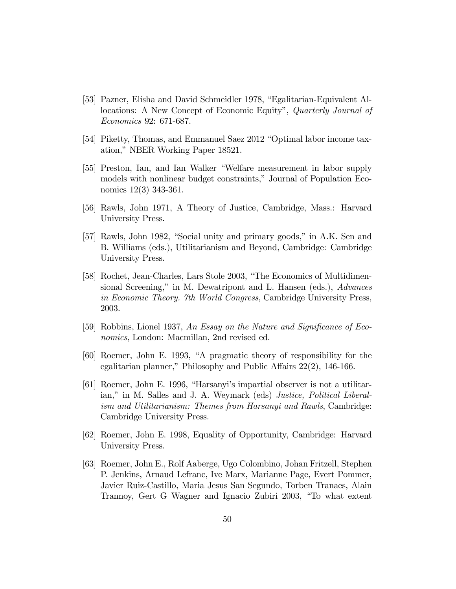- [53] Pazner, Elisha and David Schmeidler 1978, "Egalitarian-Equivalent Allocations: A New Concept of Economic Equity", Quarterly Journal of Economics 92: 671-687.
- [54] Piketty, Thomas, and Emmanuel Saez 2012 "Optimal labor income taxation," NBER Working Paper 18521.
- [55] Preston, Ian, and Ian Walker "Welfare measurement in labor supply models with nonlinear budget constraints," Journal of Population Economics 12(3) 343-361.
- [56] Rawls, John 1971, A Theory of Justice, Cambridge, Mass.: Harvard University Press.
- [57] Rawls, John 1982, "Social unity and primary goods," in A.K. Sen and B. Williams (eds.), Utilitarianism and Beyond, Cambridge: Cambridge University Press.
- [58] Rochet, Jean-Charles, Lars Stole 2003, "The Economics of Multidimensional Screening," in M. Dewatripont and L. Hansen (eds.), *Advances* in Economic Theory. 7th World Congress, Cambridge University Press, 2003.
- [59] Robbins, Lionel 1937, An Essay on the Nature and Significance of Economics, London: Macmillan, 2nd revised ed.
- [60] Roemer, John E. 1993, "A pragmatic theory of responsibility for the egalitarian planner," Philosophy and Public Affairs  $22(2)$ , 146-166.
- $[61]$  Roemer, John E. 1996, "Harsanyi's impartial observer is not a utilitarian," in M. Salles and J. A. Weymark (eds) *Justice, Political Liberal*ism and Utilitarianism: Themes from Harsanyi and Rawls, Cambridge: Cambridge University Press.
- [62] Roemer, John E. 1998, Equality of Opportunity, Cambridge: Harvard University Press.
- [63] Roemer, John E., Rolf Aaberge, Ugo Colombino, Johan Fritzell, Stephen P. Jenkins, Arnaud Lefranc, Ive Marx, Marianne Page, Evert Pommer, Javier Ruiz-Castillo, Maria Jesus San Segundo, Torben Tranaes, Alain Trannoy, Gert G Wagner and Ignacio Zubiri 2003, "To what extent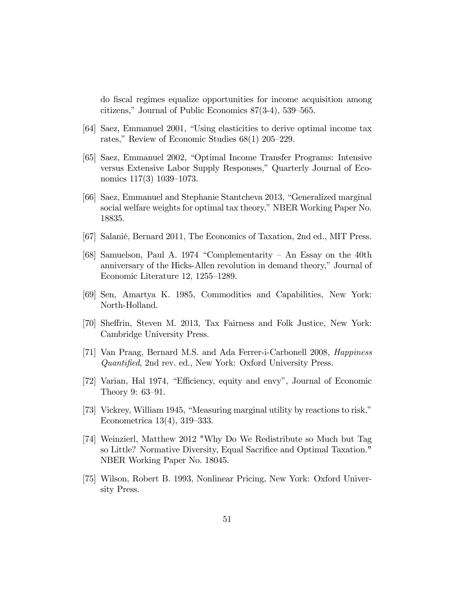do Öscal regimes equalize opportunities for income acquisition among citizens," Journal of Public Economics  $87(3-4)$ , 539–565.

- [64] Saez, Emmanuel 2001, "Using elasticities to derive optimal income tax rates," Review of Economic Studies  $68(1)$  205–229.
- [65] Saez, Emmanuel 2002, "Optimal Income Transfer Programs: Intensive versus Extensive Labor Supply Responses," Quarterly Journal of Economics  $117(3)$  1039–1073.
- [66] Saez, Emmanuel and Stephanie Stantcheva 2013, "Generalized marginal social welfare weights for optimal tax theory," NBER Working Paper No. 18835.
- [67] SalaniÈ, Bernard 2011, The Economics of Taxation, 2nd ed., MIT Press.
- [68] Samuelson, Paul A. 1974 "Complementarity  $-$  An Essay on the 40th anniversary of the Hicks-Allen revolution in demand theory," Journal of Economic Literature  $12$ ,  $1255-1289$ .
- [69] Sen, Amartya K. 1985, Commodities and Capabilities, New York: North-Holland.
- [70] Sheffrin, Steven M. 2013, Tax Fairness and Folk Justice, New York: Cambridge University Press.
- [71] Van Praag, Bernard M.S. and Ada Ferrer-i-Carbonell 2008, Happiness Quantified, 2nd rev. ed., New York: Oxford University Press.
- [72] Varian, Hal 1974, "Efficiency, equity and envy", Journal of Economic Theory 9:  $63-91$ .
- [73] Vickrey, William 1945, "Measuring marginal utility by reactions to risk," Econometrica  $13(4)$ ,  $319-333$ .
- [74] Weinzierl, Matthew 2012 "Why Do We Redistribute so Much but Tag so Little? Normative Diversity, Equal Sacrifice and Optimal Taxation." NBER Working Paper No. 18045.
- [75] Wilson, Robert B. 1993, Nonlinear Pricing, New York: Oxford University Press.